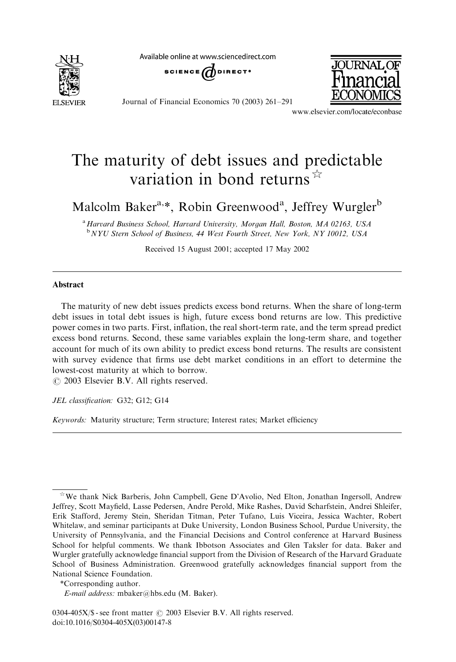Available online at www.sciencedirect.com







Journal of Financial Economics 70 (2003) 261–291

www.elsevier.com/locate/econbase

# The maturity of debt issues and predictable variation in bond returns  $\mathbb{X}$

Malcolm Baker<sup>a,\*</sup>, Robin Greenwood<sup>a</sup>, Jeffrey Wurgler<sup>b</sup>

<sup>a</sup> Harvard Business School, Harvard University, Morgan Hall, Boston, MA 02163, USA <sup>b</sup> NYU Stern School of Business, 44 West Fourth Street, New York, NY 10012, USA

Received 15 August 2001; accepted 17 May 2002

### Abstract

The maturity of new debt issues predicts excess bond returns. When the share of long-term debt issues in total debt issues is high, future excess bond returns are low. This predictive power comes in two parts. First, inflation, the real short-term rate, and the term spread predict excess bond returns. Second, these same variables explain the long-term share, and together account for much of its own ability to predict excess bond returns. The results are consistent with survey evidence that firms use debt market conditions in an effort to determine the lowest-cost maturity at which to borrow.

 $\odot$  2003 Elsevier B.V. All rights reserved.

JEL classification: G32; G12; G14

Keywords: Maturity structure; Term structure; Interest rates; Market efficiency

 $\mathbb{R}^N$ We thank Nick Barberis, John Campbell, Gene D'Avolio, Ned Elton, Jonathan Ingersoll, Andrew Jeffrey, Scott Mayfield, Lasse Pedersen, Andre Perold, Mike Rashes, David Scharfstein, Andrei Shleifer, Erik Stafford, Jeremy Stein, Sheridan Titman, Peter Tufano, Luis Viceira, Jessica Wachter, Robert Whitelaw, and seminar participants at Duke University, London Business School, Purdue University, the University of Pennsylvania, and the Financial Decisions and Control conference at Harvard Business School for helpful comments. We thank Ibbotson Associates and Glen Taksler for data. Baker and Wurgler gratefully acknowledge financial support from the Division of Research of the Harvard Graduate School of Business Administration. Greenwood gratefully acknowledges financial support from the National Science Foundation.

<sup>\*</sup>Corresponding author.

E-mail address: mbaker@hbs.edu (M. Baker).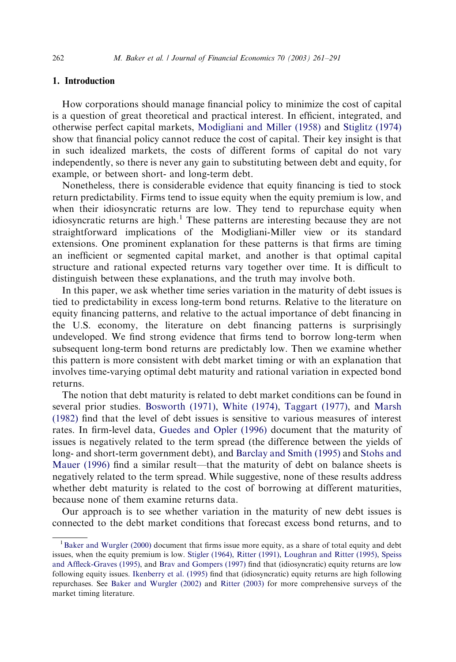# 1. Introduction

How corporations should manage financial policy to minimize the cost of capital is a question of great theoretical and practical interest. In efficient, integrated, and otherwise perfect capital markets, [Modigliani and Miller \(1958\)](#page-29-0) and [Stiglitz \(1974\)](#page-30-0) show that financial policy cannot reduce the cost of capital. Their key insight is that in such idealized markets, the costs of different forms of capital do not vary independently, so there is never any gain to substituting between debt and equity, for example, or between short- and long-term debt.

Nonetheless, there is considerable evidence that equity financing is tied to stock return predictability. Firms tend to issue equity when the equity premium is low, and when their idiosyncratic returns are low. They tend to repurchase equity when idiosyncratic returns are high.<sup>1</sup> These patterns are interesting because they are not straightforward implications of the Modigliani-Miller view or its standard extensions. One prominent explanation for these patterns is that firms are timing an inefficient or segmented capital market, and another is that optimal capital structure and rational expected returns vary together over time. It is difficult to distinguish between these explanations, and the truth may involve both.

In this paper, we ask whether time series variation in the maturity of debt issues is tied to predictability in excess long-term bond returns. Relative to the literature on equity financing patterns, and relative to the actual importance of debt financing in the U.S. economy, the literature on debt financing patterns is surprisingly undeveloped. We find strong evidence that firms tend to borrow long-term when subsequent long-term bond returns are predictably low. Then we examine whether this pattern is more consistent with debt market timing or with an explanation that involves time-varying optimal debt maturity and rational variation in expected bond returns.

The notion that debt maturity is related to debt market conditions can be found in several prior studies. [Bosworth \(1971\)](#page-28-0), [White \(1974\)](#page-30-0), [Taggart \(1977\),](#page-30-0) and [Marsh](#page-29-0) [\(1982\)](#page-29-0) find that the level of debt issues is sensitive to various measures of interest rates. In firm-level data, [Guedes and Opler \(1996\)](#page-29-0) document that the maturity of issues is negatively related to the term spread (the difference between the yields of long- and short-term government debt), and [Barclay and Smith \(1995\)](#page-28-0) and [Stohs and](#page-30-0) [Mauer \(1996\)](#page-30-0) find a similar result—that the maturity of debt on balance sheets is negatively related to the term spread. While suggestive, none of these results address whether debt maturity is related to the cost of borrowing at different maturities, because none of them examine returns data.

Our approach is to see whether variation in the maturity of new debt issues is connected to the debt market conditions that forecast excess bond returns, and to

 $<sup>1</sup>$  [Baker and Wurgler \(2000\)](#page-28-0) document that firms issue more equity, as a share of total equity and debt</sup> issues, when the equity premium is low. [Stigler \(1964\)](#page-30-0), [Ritter \(1991\),](#page-29-0) [Loughran and Ritter \(1995\)](#page-29-0), [Speiss](#page-30-0) [and Affleck-Graves \(1995\),](#page-30-0) and [Brav and Gompers \(1997\)](#page-28-0) find that (idiosyncratic) equity returns are low following equity issues. [Ikenberry et al. \(1995\)](#page-29-0) find that (idiosyncratic) equity returns are high following repurchases. See [Baker and Wurgler \(2002\)](#page-28-0) and [Ritter \(2003\)](#page-29-0) for more comprehensive surveys of the market timing literature.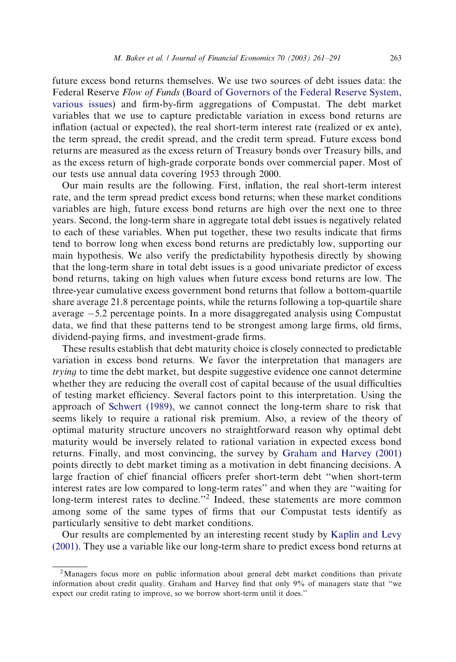future excess bond returns themselves. We use two sources of debt issues data: the Federal Reserve Flow of Funds ([Board of Governors of the Federal Reserve System,](#page-28-0) [various issues](#page-28-0)) and firm-by-firm aggregations of Compustat. The debt market variables that we use to capture predictable variation in excess bond returns are inflation (actual or expected), the real short-term interest rate (realized or ex ante), the term spread, the credit spread, and the credit term spread. Future excess bond returns are measured as the excess return of Treasury bonds over Treasury bills, and as the excess return of high-grade corporate bonds over commercial paper. Most of our tests use annual data covering 1953 through 2000.

Our main results are the following. First, inflation, the real short-term interest rate, and the term spread predict excess bond returns; when these market conditions variables are high, future excess bond returns are high over the next one to three years. Second, the long-term share in aggregate total debt issues is negatively related to each of these variables. When put together, these two results indicate that firms tend to borrow long when excess bond returns are predictably low, supporting our main hypothesis. We also verify the predictability hypothesis directly by showing that the long-term share in total debt issues is a good univariate predictor of excess bond returns, taking on high values when future excess bond returns are low. The three-year cumulative excess government bond returns that follow a bottom-quartile share average 21.8 percentage points, while the returns following a top-quartile share average 5:2 percentage points. In a more disaggregated analysis using Compustat data, we find that these patterns tend to be strongest among large firms, old firms, dividend-paying firms, and investment-grade firms.

These results establish that debt maturity choice is closely connected to predictable variation in excess bond returns. We favor the interpretation that managers are trying to time the debt market, but despite suggestive evidence one cannot determine whether they are reducing the overall cost of capital because of the usual difficulties of testing market efficiency. Several factors point to this interpretation. Using the approach of [Schwert \(1989\),](#page-30-0) we cannot connect the long-term share to risk that seems likely to require a rational risk premium. Also, a review of the theory of optimal maturity structure uncovers no straightforward reason why optimal debt maturity would be inversely related to rational variation in expected excess bond returns. Finally, and most convincing, the survey by [Graham and Harvey \(2001\)](#page-29-0) points directly to debt market timing as a motivation in debt financing decisions. A large fraction of chief financial officers prefer short-term debt ''when short-term interest rates are low compared to long-term rates'' and when they are ''waiting for long-term interest rates to decline."<sup>2</sup> Indeed, these statements are more common among some of the same types of firms that our Compustat tests identify as particularly sensitive to debt market conditions.

Our results are complemented by an interesting recent study by [Kaplin and Levy](#page-29-0) [\(2001\)](#page-29-0). They use a variable like our long-term share to predict excess bond returns at

 $2$ Managers focus more on public information about general debt market conditions than private information about credit quality. Graham and Harvey find that only 9% of managers state that ''we expect our credit rating to improve, so we borrow short-term until it does.''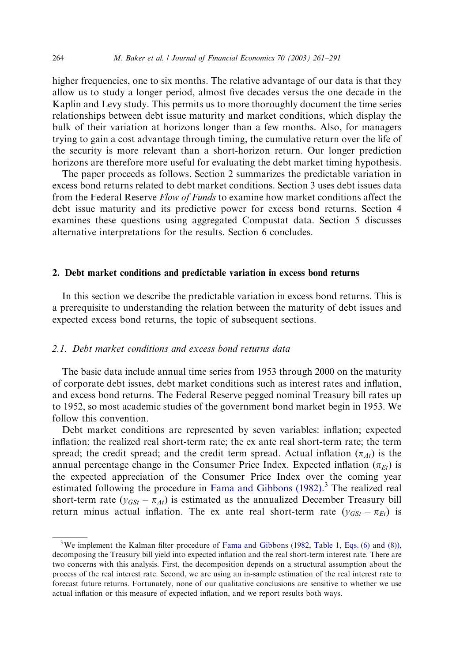higher frequencies, one to six months. The relative advantage of our data is that they allow us to study a longer period, almost five decades versus the one decade in the Kaplin and Levy study. This permits us to more thoroughly document the time series relationships between debt issue maturity and market conditions, which display the bulk of their variation at horizons longer than a few months. Also, for managers trying to gain a cost advantage through timing, the cumulative return over the life of the security is more relevant than a short-horizon return. Our longer prediction horizons are therefore more useful for evaluating the debt market timing hypothesis.

The paper proceeds as follows. Section 2 summarizes the predictable variation in excess bond returns related to debt market conditions. Section 3 uses debt issues data from the Federal Reserve Flow of Funds to examine how market conditions affect the debt issue maturity and its predictive power for excess bond returns. Section 4 examines these questions using aggregated Compustat data. Section 5 discusses alternative interpretations for the results. Section 6 concludes.

### 2. Debt market conditions and predictable variation in excess bond returns

In this section we describe the predictable variation in excess bond returns. This is a prerequisite to understanding the relation between the maturity of debt issues and expected excess bond returns, the topic of subsequent sections.

### 2.1. Debt market conditions and excess bond returns data

The basic data include annual time series from 1953 through 2000 on the maturity of corporate debt issues, debt market conditions such as interest rates and inflation, and excess bond returns. The Federal Reserve pegged nominal Treasury bill rates up to 1952, so most academic studies of the government bond market begin in 1953. We follow this convention.

Debt market conditions are represented by seven variables: inflation; expected inflation; the realized real short-term rate; the ex ante real short-term rate; the term spread; the credit spread; and the credit term spread. Actual inflation  $(\pi_{At})$  is the annual percentage change in the Consumer Price Index. Expected inflation  $(\pi_{Et})$  is the expected appreciation of the Consumer Price Index over the coming year estimated following the procedure in [Fama and Gibbons \(1982\)](#page-28-0). <sup>3</sup> The realized real short-term rate  $(\gamma_{GS} - \pi_{At})$  is estimated as the annualized December Treasury bill return minus actual inflation. The ex ante real short-term rate  $(y_{GSt} - \pi_{Et})$  is

<sup>&</sup>lt;sup>3</sup>We implement the Kalman filter procedure of [Fama and Gibbons \(1982, Table 1, Eqs. \(6\) and \(8\)\)](#page-28-0), decomposing the Treasury bill yield into expected inflation and the real short-term interest rate. There are two concerns with this analysis. First, the decomposition depends on a structural assumption about the process of the real interest rate. Second, we are using an in-sample estimation of the real interest rate to forecast future returns. Fortunately, none of our qualitative conclusions are sensitive to whether we use actual inflation or this measure of expected inflation, and we report results both ways.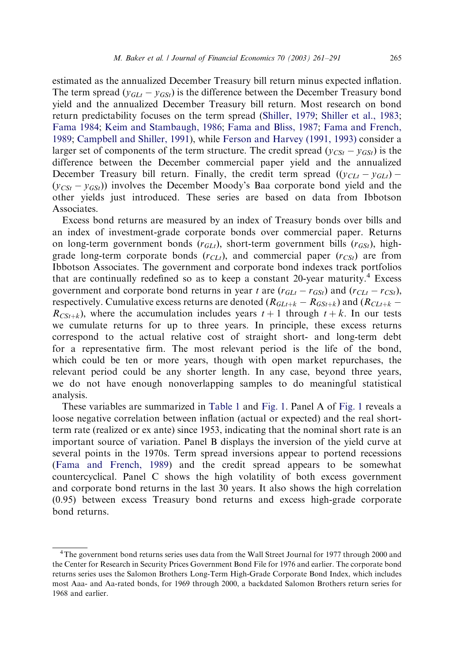estimated as the annualized December Treasury bill return minus expected inflation. The term spread  $(y_{GLt} - y_{GSt})$  is the difference between the December Treasury bond yield and the annualized December Treasury bill return. Most research on bond return predictability focuses on the term spread ([Shiller, 1979;](#page-30-0) [Shiller et al., 1983;](#page-30-0) [Fama 1984;](#page-28-0) [Keim and Stambaugh, 1986;](#page-29-0) [Fama and Bliss, 1987](#page-28-0); [Fama and French,](#page-28-0) [1989;](#page-28-0) [Campbell and Shiller, 1991\)](#page-28-0), while [Ferson and Harvey \(1991, 1993\)](#page-29-0) consider a larger set of components of the term structure. The credit spread  $(y_{CSt} - y_{GSt})$  is the difference between the December commercial paper yield and the annualized December Treasury bill return. Finally, the credit term spread  $((v_{CLt} - v_{GLt}) (y_{CSt} - y_{GSt})$  involves the December Moody's Baa corporate bond yield and the other yields just introduced. These series are based on data from Ibbotson Associates.

Excess bond returns are measured by an index of Treasury bonds over bills and an index of investment-grade corporate bonds over commercial paper. Returns on long-term government bonds  $(r_{GL})$ , short-term government bills  $(r_{GS})$ , highgrade long-term corporate bonds  $(r_{CL})$ , and commercial paper  $(r_{CC})$  are from Ibbotson Associates. The government and corporate bond indexes track portfolios that are continually redefined so as to keep a constant 20-year maturity.<sup>4</sup> Excess government and corporate bond returns in year t are  $(r_{GLt} - r_{GSt})$  and  $(r_{CLt} - r_{CSt})$ , respectively. Cumulative excess returns are denoted  $(R_{GL+k} - R_{GSt+k})$  and  $(R_{CL+k} - R_{GSt+k})$  $R_{CSt+k}$ , where the accumulation includes years  $t + 1$  through  $t + k$ . In our tests we cumulate returns for up to three years. In principle, these excess returns correspond to the actual relative cost of straight short- and long-term debt for a representative firm. The most relevant period is the life of the bond, which could be ten or more years, though with open market repurchases, the relevant period could be any shorter length. In any case, beyond three years, we do not have enough nonoverlapping samples to do meaningful statistical analysis.

These variables are summarized in Table 1 and [Fig. 1](#page-6-0). Panel A of [Fig. 1](#page-6-0) reveals a loose negative correlation between inflation (actual or expected) and the real shortterm rate (realized or ex ante) since 1953, indicating that the nominal short rate is an important source of variation. Panel B displays the inversion of the yield curve at several points in the 1970s. Term spread inversions appear to portend recessions [\(Fama and French, 1989](#page-28-0)) and the credit spread appears to be somewhat countercyclical. Panel C shows the high volatility of both excess government and corporate bond returns in the last 30 years. It also shows the high correlation (0.95) between excess Treasury bond returns and excess high-grade corporate bond returns.

<sup>4</sup>The government bond returns series uses data from the Wall Street Journal for 1977 through 2000 and the Center for Research in Security Prices Government Bond File for 1976 and earlier. The corporate bond returns series uses the Salomon Brothers Long-Term High-Grade Corporate Bond Index, which includes most Aaa- and Aa-rated bonds, for 1969 through 2000, a backdated Salomon Brothers return series for 1968 and earlier.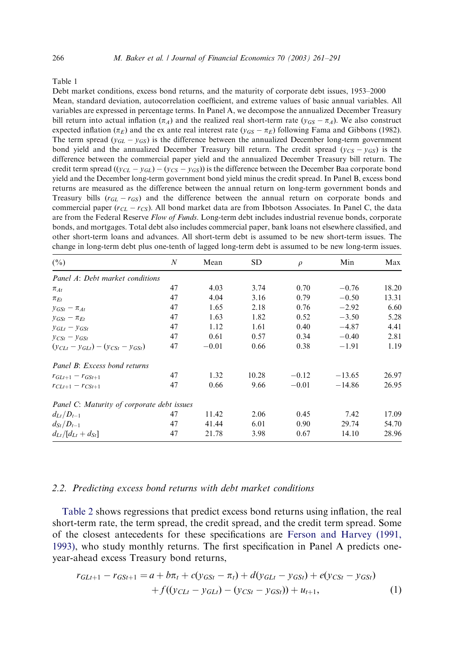Debt market conditions, excess bond returns, and the maturity of corporate debt issues, 1953–2000 Mean, standard deviation, autocorrelation coefficient, and extreme values of basic annual variables. All variables are expressed in percentage terms. In Panel A, we decompose the annualized December Treasury bill return into actual inflation  $(\pi_A)$  and the realized real short-term rate  $(y_{GS} - \pi_A)$ . We also construct expected inflation ( $\pi_F$ ) and the ex ante real interest rate ( $y_{GS} - \pi_F$ ) following Fama and Gibbons (1982). The term spread  $(y_{GL} - y_{GS})$  is the difference between the annualized December long-term government bond yield and the annualized December Treasury bill return. The credit spread  $(y_{CS} - y_{GS})$  is the difference between the commercial paper yield and the annualized December Treasury bill return. The credit term spread  $((y_{CL} - y_{GL}) - (y_{CS} - y_{GS}))$  is the difference between the December Baa corporate bond yield and the December long-term government bond yield minus the credit spread. In Panel B, excess bond returns are measured as the difference between the annual return on long-term government bonds and Treasury bills  $(r_{GL} - r_{GS})$  and the difference between the annual return on corporate bonds and commercial paper  $(r_{CL} - r_{CS})$ . All bond market data are from Ibbotson Associates. In Panel C, the data are from the Federal Reserve Flow of Funds. Long-term debt includes industrial revenue bonds, corporate bonds, and mortgages. Total debt also includes commercial paper, bank loans not elsewhere classified, and other short-term loans and advances. All short-term debt is assumed to be new short-term issues. The change in long-term debt plus one-tenth of lagged long-term debt is assumed to be new long-term issues.

| $($ %)                                      | $\boldsymbol{N}$ | Mean    | SD.   | $\rho$  | Min      | Max   |
|---------------------------------------------|------------------|---------|-------|---------|----------|-------|
| Panel A: Debt market conditions             |                  |         |       |         |          |       |
| $\pi_{At}$                                  | 47               | 4.03    | 3.74  | 0.70    | $-0.76$  | 18.20 |
| $\pi_{Et}$                                  | 47               | 4.04    | 3.16  | 0.79    | $-0.50$  | 13.31 |
| $y_{GSt} - \pi_{At}$                        | 47               | 1.65    | 2.18  | 0.76    | $-2.92$  | 6.60  |
| $y_{GSt} - \pi_{Et}$                        | 47               | 1.63    | 1.82  | 0.52    | $-3.50$  | 5.28  |
| $y_{GLt} - y_{GSt}$                         | 47               | 1.12    | 1.61  | 0.40    | $-4.87$  | 4.41  |
| $y_{CSt} - y_{GSt}$                         | 47               | 0.61    | 0.57  | 0.34    | $-0.40$  | 2.81  |
| $(y_{CLt} - y_{GLt}) - (y_{CSt} - y_{GSt})$ | 47               | $-0.01$ | 0.66  | 0.38    | $-1.91$  | 1.19  |
| Panel B: Excess bond returns                |                  |         |       |         |          |       |
| $r_{GLt+1} - r_{GSt+1}$                     | 47               | 1.32    | 10.28 | $-0.12$ | $-13.65$ | 26.97 |
| $r_{CLt+1} - r_{CSt+1}$                     | 47               | 0.66    | 9.66  | $-0.01$ | $-14.86$ | 26.95 |
| Panel C: Maturity of corporate debt issues  |                  |         |       |         |          |       |
| $d_{Lt}/D_{t-1}$                            | 47               | 11.42   | 2.06  | 0.45    | 7.42     | 17.09 |
| $d_{St}/D_{t-1}$                            | 47               | 41.44   | 6.01  | 0.90    | 29.74    | 54.70 |
| $d_{Lt}/[d_{Lt} + d_{St}]$                  | 47               | 21.78   | 3.98  | 0.67    | 14.10    | 28.96 |

### 2.2. Predicting excess bond returns with debt market conditions

Table 2 shows regressions that predict excess bond returns using inflation, the real short-term rate, the term spread, the credit spread, and the credit term spread. Some of the closest antecedents for these specifications are [Ferson and Harvey \(1991,](#page-29-0) [1993\)](#page-29-0), who study monthly returns. The first specification in Panel A predicts oneyear-ahead excess Treasury bond returns,

$$
r_{GLt+1} - r_{GSt+1} = a + b\pi_t + c(y_{GSt} - \pi_t) + d(y_{GLt} - y_{GSt}) + e(y_{CSt} - y_{GSt})
$$
  
+  $f((y_{CLt} - y_{GLt}) - (y_{CSt} - y_{GSt})) + u_{t+1},$  (1)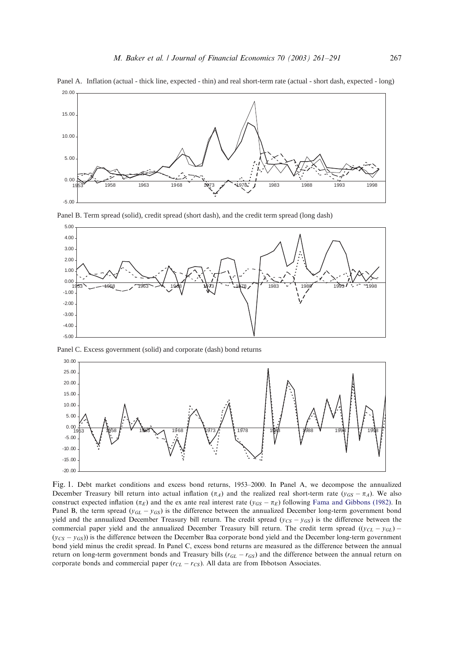

<span id="page-6-0"></span>Panel A. Inflation (actual - thick line, expected - thin) and real short-term rate (actual - short dash, expected - long)

Panel B. Term spread (solid), credit spread (short dash), and the credit term spread (long dash)



Panel C. Excess government (solid) and corporate (dash) bond returns



Fig. 1. Debt market conditions and excess bond returns, 1953–2000. In Panel A, we decompose the annualized December Treasury bill return into actual inflation  $(\pi_A)$  and the realized real short-term rate  $(y_{GS} - \pi_A)$ . We also construct expected inflation ( $\pi_E$ ) and the ex ante real interest rate  $(y_{GS} - \pi_E)$  following [Fama and Gibbons \(1982\).](#page-28-0) In Panel B, the term spread  $(y_{GL} - y_{GS})$  is the difference between the annualized December long-term government bond yield and the annualized December Treasury bill return. The credit spread  $(y_{CS} - y_{GS})$  is the difference between the commercial paper yield and the annualized December Treasury bill return. The credit term spread  $((y_{CL} - y_{GL}) (y_{CS} - y_{GS})$  is the difference between the December Baa corporate bond yield and the December long-term government bond yield minus the credit spread. In Panel C, excess bond returns are measured as the difference between the annual return on long-term government bonds and Treasury bills  $(r_{GL} - r_{GS})$  and the difference between the annual return on corporate bonds and commercial paper  $(r_{CL} - r_{CS})$ . All data are from Ibbotson Associates.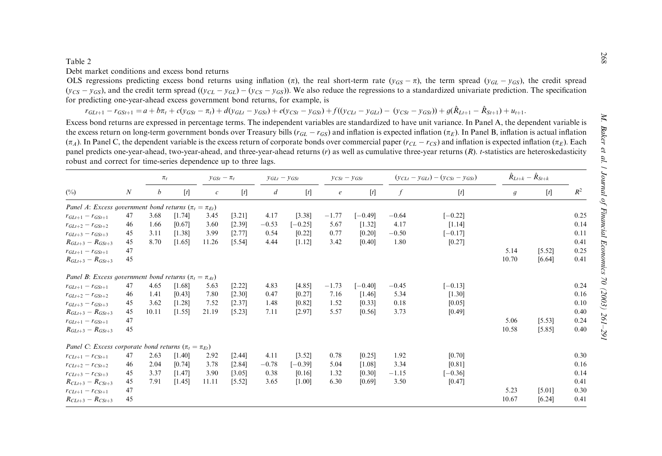### Debt market conditions and excess bond returns

OLS regressions predicting excess bond returns using inflation  $(\pi)$ , the real short-term rate  $(y_{GS} - \pi)$ , the term spread  $(y_{GL} - y_{GS})$ , the credit spread  $(y_{CS} - y_{GS})$ , and the credit term spread  $((y_{CL} - y_{GL}) - (y_{CS} - y_{GS}))$ . We also reduce the regressions to a standardized univariate prediction. The specification for predicting one-year-ahead excess government bond returns, for example, is

 $r_{GLt+1} - r_{GSt+1} = a + b\pi_t + c(y_{GSt} - \pi_t) + d(y_{GLt} - y_{GSt}) + e(y_{CSt} - y_{GSt}) + f((y_{CLt} - y_{GLt}) - (y_{CSt} - y_{GSt})) + g(\hat{R}_{Lt+1} - \hat{R}_{St+1}) + u_{t+1}$ 

Excess bond returns are expressed in percentage terms. The independent variables are standardized to have unit variance. In Panel A, the dependent variable is the excess return on long-term government bonds over Treasury bills ( $r_{GL} - r_{GS}$ ) and inflation is expected inflation ( $\pi_E$ ). In Panel B, inflation is actual inflation  $(\pi_A)$ . In Panel C, the dependent variable is the excess return of corporate bonds over commercial paper  $(r_{CL} - r_{CS})$  and inflation is expected inflation  $(\pi_E)$ . Each panel predicts one-year-ahead, two-year-ahead, and three-year-ahead returns  $(r)$  as well as cumulative three-year returns  $(R)$ . t-statistics are heteroskedasticity robust and correct for time-series dependence up to three lags.

|                                                                |                  | $\pi_t$ |          | $y_{GSt} - \pi_t$ |        | $y_{GLt} - y_{GSt}$ |           | $y_{CSt} - y_{GSt}$ |           |         | $(y_{CLt} - y_{GLt}) - (y_{CSt} - y_{GSt})$ |                | $R_{L t+k}-R_{S t+k}$ |       |
|----------------------------------------------------------------|------------------|---------|----------|-------------------|--------|---------------------|-----------|---------------------|-----------|---------|---------------------------------------------|----------------|-----------------------|-------|
| $(\%)$                                                         | $\boldsymbol{N}$ | b       | [t]      | $\boldsymbol{c}$  | $[t]$  | d                   | $[t]$     | $\boldsymbol{e}$    | $[t]$     | $\int$  | $[t]$                                       | $\mathfrak{g}$ | $[t]$                 | $R^2$ |
| Panel A: Excess government bond returns ( $\pi_t = \pi_{Et}$ ) |                  |         |          |                   |        |                     |           |                     |           |         |                                             |                |                       |       |
| $r_{GLt+1} - r_{GSt+1}$                                        | 47               | 3.68    | [1.74]   | 3.45              | [3.21] | 4.17                | [3.38]    | $-1.77$             | $[-0.49]$ | $-0.64$ | $[-0.22]$                                   |                |                       | 0.25  |
| $r_{GLt+2} - r_{GSt+2}$                                        | 46               | 1.66    | [0.67]   | 3.60              | [2.39] | $-0.53$             | $[-0.25]$ | 5.67                | [1.32]    | 4.17    | [1.14]                                      |                |                       | 0.14  |
| $r_{GLt+3} - r_{GSt+3}$                                        | 45               | 3.11    | [1.38]   | 3.99              | [2.77] | 0.54                | [0.22]    | 0.77                | [0.20]    | $-0.50$ | $[-0.17]$                                   |                |                       | 0.11  |
| $R_{GLt+3} - R_{GSt+3}$                                        | 45               | 8.70    | [1.65]   | 11.26             | [5.54] | 4.44                | [1.12]    | 3.42                | [0.40]    | 1.80    | [0.27]                                      |                |                       | 0.41  |
| $r_{GLt+1} - r_{GSt+1}$                                        | 47               |         |          |                   |        |                     |           |                     |           |         |                                             | 5.14           | [5.52]                | 0.25  |
| $R_{GLt+3} - R_{GSt+3}$                                        | 45               |         |          |                   |        |                     |           |                     |           |         |                                             | 10.70          | [6.64]                | 0.41  |
| Panel B: Excess government bond returns ( $\pi_t = \pi_{At}$ ) |                  |         |          |                   |        |                     |           |                     |           |         |                                             |                |                       |       |
| $r_{GLt+1} - r_{GSt+1}$                                        | 47               | 4.65    | $[1.68]$ | 5.63              | [2.22] | 4.83                | [4.85]    | $-1.73$             | $-0.40$ ] | $-0.45$ | $[-0.13]$                                   |                |                       | 0.24  |
| $r_{GLt+2} - r_{GSt+2}$                                        | 46               | 1.41    | [0.43]   | 7.80              | [2.30] | 0.47                | [0.27]    | 7.16                | [1.46]    | 5.34    | [1.30]                                      |                |                       | 0.16  |
| $r_{GLt+3} - r_{GSt+3}$                                        | 45               | 3.62    | [1.28]   | 7.52              | [2.37] | 1.48                | [0.82]    | 1.52                | [0.33]    | 0.18    | [0.05]                                      |                |                       | 0.10  |
| $R_{GLt+3} - R_{GSt+3}$                                        | 45               | 10.11   | [1.55]   | 21.19             | [5.23] | 7.11                | [2.97]    | 5.57                | [0.56]    | 3.73    | [0.49]                                      |                |                       | 0.40  |
| $r_{GLt+1} - r_{GSt+1}$                                        | 47               |         |          |                   |        |                     |           |                     |           |         |                                             | 5.06           | [5.53]                | 0.24  |
| $R_{GLt+3} - R_{GSt+3}$                                        | 45               |         |          |                   |        |                     |           |                     |           |         |                                             | 10.58          | [5.85]                | 0.40  |
| Panel C: Excess corporate bond returns ( $\pi_t = \pi_{Et}$ )  |                  |         |          |                   |        |                     |           |                     |           |         |                                             |                |                       |       |
| $r_{CLt+1} - r_{CSt+1}$                                        | 47               | 2.63    | [1.40]   | 2.92              | [2.44] | 4.11                | [3.52]    | 0.78                | [0.25]    | 1.92    | [0.70]                                      |                |                       | 0.30  |
| $r_{CLt+2} - r_{CSt+2}$                                        | 46               | 2.04    | [0.74]   | 3.78              | [2.84] | $-0.78$             | $[-0.39]$ | 5.04                | [1.08]    | 3.34    | [0.81]                                      |                |                       | 0.16  |
| $r_{CLt+3} - r_{CSt+3}$                                        | 45               | 3.37    | [1.47]   | 3.90              | [3.05] | 0.38                | [0.16]    | 1.32                | [0.30]    | $-1.15$ | $[-0.36]$                                   |                |                       | 0.14  |
| $R_{CLt+3} - R_{CSt+3}$                                        | 45               | 7.91    | [1.45]   | 11.11             | [5.52] | 3.65                | [1.00]    | 6.30                | [0.69]    | 3.50    | [0.47]                                      |                |                       | 0.41  |
| $r_{CLt+1} - r_{CSt+1}$                                        | 47               |         |          |                   |        |                     |           |                     |           |         |                                             | 5.23           | [5.01]                | 0.30  |
| $R_{CLt+3} - R_{CSt+3}$                                        | 45               |         |          |                   |        |                     |           |                     |           |         |                                             | 10.67          | [6.24]                | 0.41  |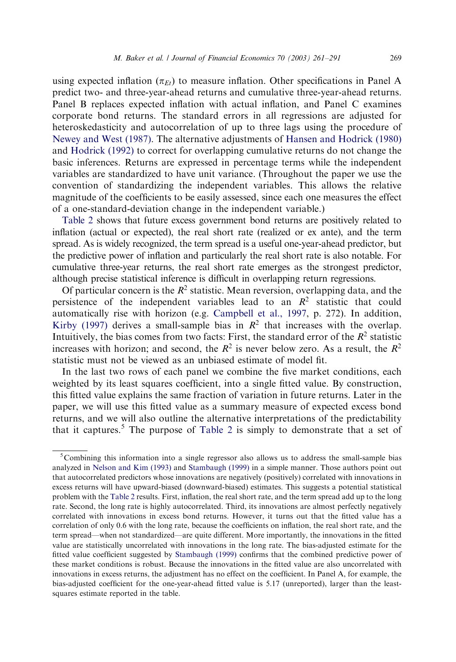using expected inflation  $(\pi_{Et})$  to measure inflation. Other specifications in Panel A predict two- and three-year-ahead returns and cumulative three-year-ahead returns. Panel B replaces expected inflation with actual inflation, and Panel C examines corporate bond returns. The standard errors in all regressions are adjusted for heteroskedasticity and autocorrelation of up to three lags using the procedure of [Newey and West \(1987\)](#page-29-0). The alternative adjustments of [Hansen and Hodrick \(1980\)](#page-29-0) and [Hodrick \(1992\)](#page-29-0) to correct for overlapping cumulative returns do not change the basic inferences. Returns are expressed in percentage terms while the independent variables are standardized to have unit variance. (Throughout the paper we use the convention of standardizing the independent variables. This allows the relative magnitude of the coefficients to be easily assessed, since each one measures the effect of a one-standard-deviation change in the independent variable.)

Table 2 shows that future excess government bond returns are positively related to inflation (actual or expected), the real short rate (realized or ex ante), and the term spread. As is widely recognized, the term spread is a useful one-year-ahead predictor, but the predictive power of inflation and particularly the real short rate is also notable. For cumulative three-year returns, the real short rate emerges as the strongest predictor, although precise statistical inference is difficult in overlapping return regressions.

Of particular concern is the  $R^2$  statistic. Mean reversion, overlapping data, and the persistence of the independent variables lead to an  $R<sup>2</sup>$  statistic that could automatically rise with horizon (e.g. [Campbell et al., 1997,](#page-28-0) p. 272). In addition, [Kirby \(1997\)](#page-29-0) derives a small-sample bias in  $R^2$  that increases with the overlap. Intuitively, the bias comes from two facts: First, the standard error of the  $R^2$  statistic increases with horizon; and second, the  $R^2$  is never below zero. As a result, the  $R^2$ statistic must not be viewed as an unbiased estimate of model fit.

In the last two rows of each panel we combine the five market conditions, each weighted by its least squares coefficient, into a single fitted value. By construction, this fitted value explains the same fraction of variation in future returns. Later in the paper, we will use this fitted value as a summary measure of expected excess bond returns, and we will also outline the alternative interpretations of the predictability that it captures.<sup>5</sup> The purpose of Table 2 is simply to demonstrate that a set of

<sup>&</sup>lt;sup>5</sup>Combining this information into a single regressor also allows us to address the small-sample bias analyzed in [Nelson and Kim \(1993\)](#page-29-0) and [Stambaugh \(1999\)](#page-30-0) in a simple manner. Those authors point out that autocorrelated predictors whose innovations are negatively (positively) correlated with innovations in excess returns will have upward-biased (downward-biased) estimates. This suggests a potential statistical problem with the Table 2 results. First, inflation, the real short rate, and the term spread add up to the long rate. Second, the long rate is highly autocorrelated. Third, its innovations are almost perfectly negatively correlated with innovations in excess bond returns. However, it turns out that the fitted value has a correlation of only 0.6 with the long rate, because the coefficients on inflation, the real short rate, and the term spread—when not standardized—are quite different. More importantly, the innovations in the fitted value are statistically uncorrelated with innovations in the long rate. The bias-adjusted estimate for the fitted value coefficient suggested by [Stambaugh \(1999\)](#page-30-0) confirms that the combined predictive power of these market conditions is robust. Because the innovations in the fitted value are also uncorrelated with innovations in excess returns, the adjustment has no effect on the coefficient. In Panel A, for example, the bias-adjusted coefficient for the one-year-ahead fitted value is 5.17 (unreported), larger than the leastsquares estimate reported in the table.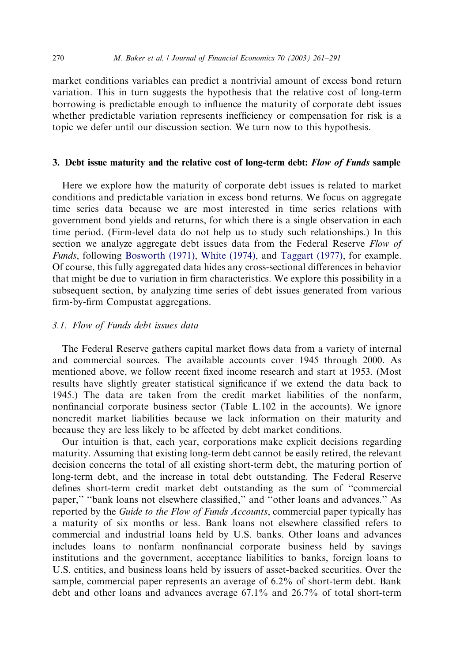market conditions variables can predict a nontrivial amount of excess bond return variation. This in turn suggests the hypothesis that the relative cost of long-term borrowing is predictable enough to influence the maturity of corporate debt issues whether predictable variation represents inefficiency or compensation for risk is a topic we defer until our discussion section. We turn now to this hypothesis.

### 3. Debt issue maturity and the relative cost of long-term debt: Flow of Funds sample

Here we explore how the maturity of corporate debt issues is related to market conditions and predictable variation in excess bond returns. We focus on aggregate time series data because we are most interested in time series relations with government bond yields and returns, for which there is a single observation in each time period. (Firm-level data do not help us to study such relationships.) In this section we analyze aggregate debt issues data from the Federal Reserve Flow of Funds, following [Bosworth \(1971\)](#page-28-0), [White \(1974\)](#page-30-0), and [Taggart \(1977\)](#page-30-0), for example. Of course, this fully aggregated data hides any cross-sectional differences in behavior that might be due to variation in firm characteristics. We explore this possibility in a subsequent section, by analyzing time series of debt issues generated from various firm-by-firm Compustat aggregations.

### 3.1. Flow of Funds debt issues data

The Federal Reserve gathers capital market flows data from a variety of internal and commercial sources. The available accounts cover 1945 through 2000. As mentioned above, we follow recent fixed income research and start at 1953. (Most results have slightly greater statistical significance if we extend the data back to 1945.) The data are taken from the credit market liabilities of the nonfarm, nonfinancial corporate business sector (Table L.102 in the accounts). We ignore noncredit market liabilities because we lack information on their maturity and because they are less likely to be affected by debt market conditions.

Our intuition is that, each year, corporations make explicit decisions regarding maturity. Assuming that existing long-term debt cannot be easily retired, the relevant decision concerns the total of all existing short-term debt, the maturing portion of long-term debt, and the increase in total debt outstanding. The Federal Reserve defines short-term credit market debt outstanding as the sum of ''commercial paper,'' ''bank loans not elsewhere classified,'' and ''other loans and advances.'' As reported by the Guide to the Flow of Funds Accounts, commercial paper typically has a maturity of six months or less. Bank loans not elsewhere classified refers to commercial and industrial loans held by U.S. banks. Other loans and advances includes loans to nonfarm nonfinancial corporate business held by savings institutions and the government, acceptance liabilities to banks, foreign loans to U.S. entities, and business loans held by issuers of asset-backed securities. Over the sample, commercial paper represents an average of 6.2% of short-term debt. Bank debt and other loans and advances average 67.1% and 26.7% of total short-term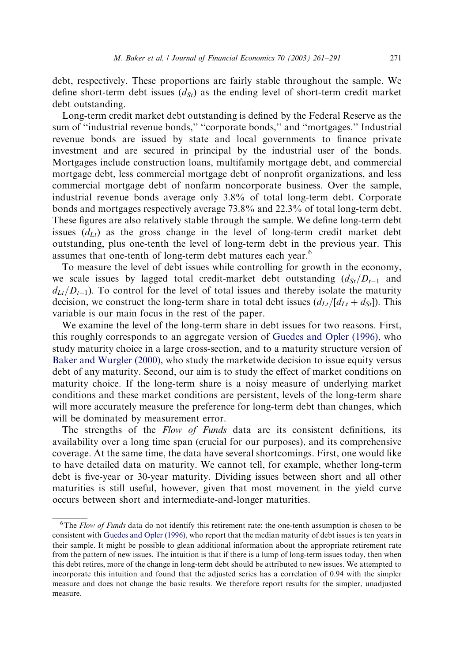debt, respectively. These proportions are fairly stable throughout the sample. We define short-term debt issues  $(d_{St})$  as the ending level of short-term credit market debt outstanding.

Long-term credit market debt outstanding is defined by the Federal Reserve as the sum of "industrial revenue bonds," "corporate bonds," and "mortgages." Industrial revenue bonds are issued by state and local governments to finance private investment and are secured in principal by the industrial user of the bonds. Mortgages include construction loans, multifamily mortgage debt, and commercial mortgage debt, less commercial mortgage debt of nonprofit organizations, and less commercial mortgage debt of nonfarm noncorporate business. Over the sample, industrial revenue bonds average only 3.8% of total long-term debt. Corporate bonds and mortgages respectively average 73.8% and 22.3% of total long-term debt. These figures are also relatively stable through the sample. We define long-term debt issues  $(d<sub>Li</sub>)$  as the gross change in the level of long-term credit market debt outstanding, plus one-tenth the level of long-term debt in the previous year. This assumes that one-tenth of long-term debt matures each year.<sup>6</sup>

To measure the level of debt issues while controlling for growth in the economy, we scale issues by lagged total credit-market debt outstanding  $\left(d_{St}/D_{t-1}\right)$  and  $d_{Lt}/D_{t-1}$ ). To control for the level of total issues and thereby isolate the maturity decision, we construct the long-term share in total debt issues  $(d_{Lt}/d_{Lt} + d_{St})$ . This variable is our main focus in the rest of the paper.

We examine the level of the long-term share in debt issues for two reasons. First, this roughly corresponds to an aggregate version of [Guedes and Opler \(1996\)](#page-29-0), who study maturity choice in a large cross-section, and to a maturity structure version of [Baker and Wurgler \(2000\),](#page-28-0) who study the marketwide decision to issue equity versus debt of any maturity. Second, our aim is to study the effect of market conditions on maturity choice. If the long-term share is a noisy measure of underlying market conditions and these market conditions are persistent, levels of the long-term share will more accurately measure the preference for long-term debt than changes, which will be dominated by measurement error.

The strengths of the Flow of Funds data are its consistent definitions, its availability over a long time span (crucial for our purposes), and its comprehensive coverage. At the same time, the data have several shortcomings. First, one would like to have detailed data on maturity. We cannot tell, for example, whether long-term debt is five-year or 30-year maturity. Dividing issues between short and all other maturities is still useful, however, given that most movement in the yield curve occurs between short and intermediate-and-longer maturities.

 $6$ The Flow of Funds data do not identify this retirement rate; the one-tenth assumption is chosen to be consistent with [Guedes and Opler \(1996\)](#page-29-0), who report that the median maturity of debt issues is ten years in their sample. It might be possible to glean additional information about the appropriate retirement rate from the pattern of new issues. The intuition is that if there is a lump of long-term issues today, then when this debt retires, more of the change in long-term debt should be attributed to new issues. We attempted to incorporate this intuition and found that the adjusted series has a correlation of 0.94 with the simpler measure and does not change the basic results. We therefore report results for the simpler, unadjusted measure.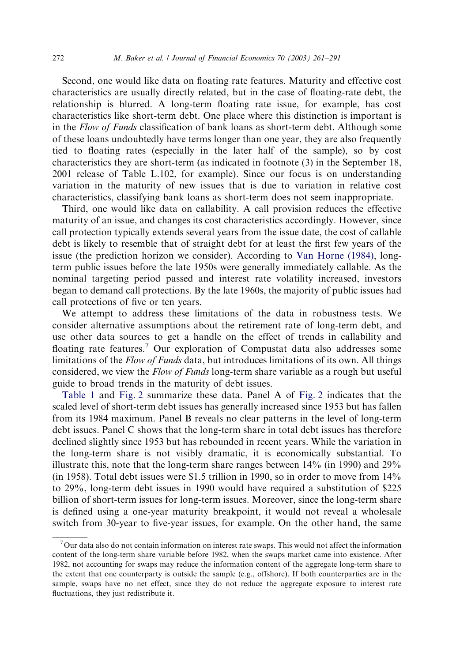Second, one would like data on floating rate features. Maturity and effective cost characteristics are usually directly related, but in the case of floating-rate debt, the relationship is blurred. A long-term floating rate issue, for example, has cost characteristics like short-term debt. One place where this distinction is important is in the Flow of Funds classification of bank loans as short-term debt. Although some of these loans undoubtedly have terms longer than one year, they are also frequently tied to floating rates (especially in the later half of the sample), so by cost characteristics they are short-term (as indicated in footnote (3) in the September 18, 2001 release of Table L.102, for example). Since our focus is on understanding variation in the maturity of new issues that is due to variation in relative cost characteristics, classifying bank loans as short-term does not seem inappropriate.

Third, one would like data on callability. A call provision reduces the effective maturity of an issue, and changes its cost characteristics accordingly. However, since call protection typically extends several years from the issue date, the cost of callable debt is likely to resemble that of straight debt for at least the first few years of the issue (the prediction horizon we consider). According to [Van Horne \(1984\),](#page-30-0) longterm public issues before the late 1950s were generally immediately callable. As the nominal targeting period passed and interest rate volatility increased, investors began to demand call protections. By the late 1960s, the majority of public issues had call protections of five or ten years.

We attempt to address these limitations of the data in robustness tests. We consider alternative assumptions about the retirement rate of long-term debt, and use other data sources to get a handle on the effect of trends in callability and floating rate features.<sup>7</sup> Our exploration of Compustat data also addresses some limitations of the Flow of Funds data, but introduces limitations of its own. All things considered, we view the Flow of Funds long-term share variable as a rough but useful guide to broad trends in the maturity of debt issues.

Table 1 and [Fig. 2](#page-12-0) summarize these data. Panel A of [Fig. 2](#page-12-0) indicates that the scaled level of short-term debt issues has generally increased since 1953 but has fallen from its 1984 maximum. Panel B reveals no clear patterns in the level of long-term debt issues. Panel C shows that the long-term share in total debt issues has therefore declined slightly since 1953 but has rebounded in recent years. While the variation in the long-term share is not visibly dramatic, it is economically substantial. To illustrate this, note that the long-term share ranges between 14% (in 1990) and 29% (in 1958). Total debt issues were \$1.5 trillion in 1990, so in order to move from 14% to 29%, long-term debt issues in 1990 would have required a substitution of \$225 billion of short-term issues for long-term issues. Moreover, since the long-term share is defined using a one-year maturity breakpoint, it would not reveal a wholesale switch from 30-year to five-year issues, for example. On the other hand, the same

 $7$ Our data also do not contain information on interest rate swaps. This would not affect the information content of the long-term share variable before 1982, when the swaps market came into existence. After 1982, not accounting for swaps may reduce the information content of the aggregate long-term share to the extent that one counterparty is outside the sample (e.g., offshore). If both counterparties are in the sample, swaps have no net effect, since they do not reduce the aggregate exposure to interest rate fluctuations, they just redistribute it.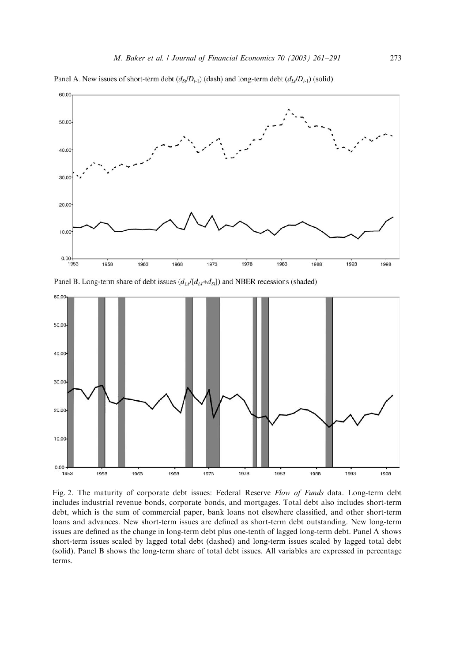

<span id="page-12-0"></span>Panel A. New issues of short-term debt  $(d_{S}/D_{t-1})$  (dash) and long-term debt  $(d_{L}/D_{t-1})$  (solid)





Fig. 2. The maturity of corporate debt issues: Federal Reserve Flow of Funds data. Long-term debt includes industrial revenue bonds, corporate bonds, and mortgages. Total debt also includes short-term debt, which is the sum of commercial paper, bank loans not elsewhere classified, and other short-term loans and advances. New short-term issues are defined as short-term debt outstanding. New long-term issues are defined as the change in long-term debt plus one-tenth of lagged long-term debt. Panel A shows short-term issues scaled by lagged total debt (dashed) and long-term issues scaled by lagged total debt (solid). Panel B shows the long-term share of total debt issues. All variables are expressed in percentage terms.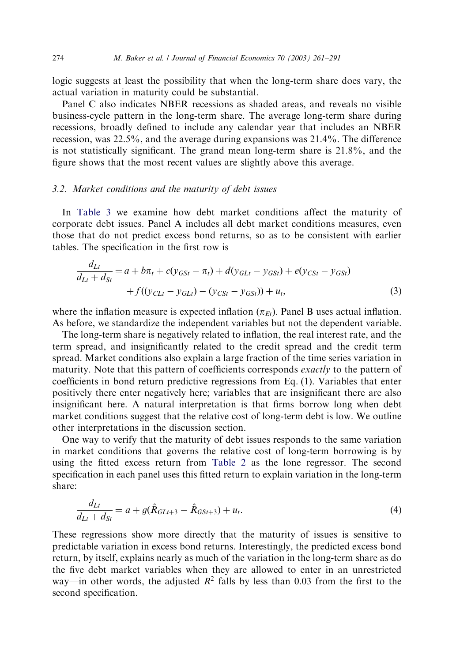logic suggests at least the possibility that when the long-term share does vary, the actual variation in maturity could be substantial.

Panel C also indicates NBER recessions as shaded areas, and reveals no visible business-cycle pattern in the long-term share. The average long-term share during recessions, broadly defined to include any calendar year that includes an NBER recession, was 22.5%, and the average during expansions was 21.4%. The difference is not statistically significant. The grand mean long-term share is 21.8%, and the figure shows that the most recent values are slightly above this average.

### 3.2. Market conditions and the maturity of debt issues

In Table 3 we examine how debt market conditions affect the maturity of corporate debt issues. Panel A includes all debt market conditions measures, even those that do not predict excess bond returns, so as to be consistent with earlier tables. The specification in the first row is

$$
\frac{d_{Lt}}{d_{Lt} + d_{St}} = a + b\pi_t + c(y_{GSt} - \pi_t) + d(y_{GLt} - y_{GSt}) + e(y_{CSt} - y_{GSt})
$$
  
+  $f((y_{CLt} - y_{GLt}) - (y_{CSt} - y_{GSt})) + u_t,$  (3)

where the inflation measure is expected inflation  $(\pi_{Et})$ . Panel B uses actual inflation. As before, we standardize the independent variables but not the dependent variable.

The long-term share is negatively related to inflation, the real interest rate, and the term spread, and insignificantly related to the credit spread and the credit term spread. Market conditions also explain a large fraction of the time series variation in maturity. Note that this pattern of coefficients corresponds *exactly* to the pattern of coefficients in bond return predictive regressions from Eq. (1). Variables that enter positively there enter negatively here; variables that are insignificant there are also insignificant here. A natural interpretation is that firms borrow long when debt market conditions suggest that the relative cost of long-term debt is low. We outline other interpretations in the discussion section.

One way to verify that the maturity of debt issues responds to the same variation in market conditions that governs the relative cost of long-term borrowing is by using the fitted excess return from Table 2 as the lone regressor. The second specification in each panel uses this fitted return to explain variation in the long-term share:

$$
\frac{d_{Lt}}{d_{Lt} + d_{St}} = a + g(\hat{R}_{GLt+3} - \hat{R}_{GSt+3}) + u_t.
$$
\n(4)

These regressions show more directly that the maturity of issues is sensitive to predictable variation in excess bond returns. Interestingly, the predicted excess bond return, by itself, explains nearly as much of the variation in the long-term share as do the five debt market variables when they are allowed to enter in an unrestricted way—in other words, the adjusted  $R^2$  falls by less than 0.03 from the first to the second specification.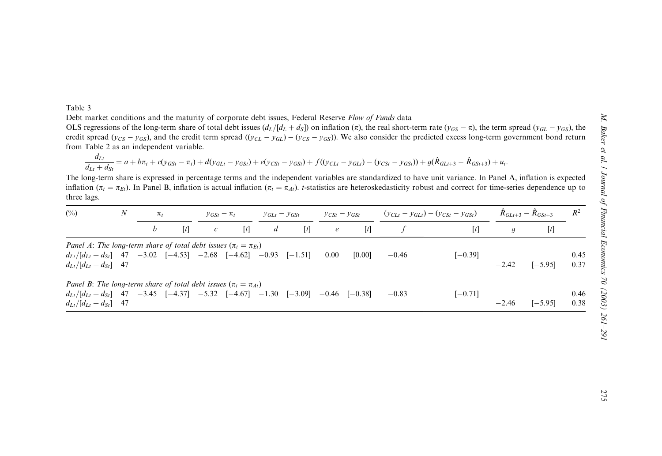Debt market conditions and the maturity of corporate debt issues, Federal Reserve Flow of Funds data

OLS regressions of the long-term share of total debt issues  $(d_L/[d_L + d_S])$  on inflation  $(\pi)$ , the real short-term rate  $(y_{GS} - \pi)$ , the term spread  $(y_{GL} - y_{GS})$ , the credit spread  $(y_{CS} - y_{GS})$ , and the credit term spread  $((y_{CL} - y_{GL}) - (y_{CS} - y_{GS}))$ . We also consider the predicted excess long-term government bond return from Table 2 as an independent variable.

$$
\frac{d_{Lt}}{d_{Lt}+d_{St}} = a + b\pi_t + c(y_{GSt} - \pi_t) + d(y_{GLt} - y_{GSt}) + e(y_{CSt} - y_{GSt}) + f((y_{CLt} - y_{GLt}) - (y_{CSt} - y_{GSt})) + g(\hat{R}_{GLt+3} - \hat{R}_{GSt+3}) + u_t.
$$

The long-term share is expressed in percentage terms and the independent variables are standardized to have unit variance. In Panel A, inflation is expected inflation ( $\pi_t = \pi_{Et}$ ). In Panel B, inflation is actual inflation ( $\pi_t = \pi_{At}$ ). t-statistics are heteroskedasticity robust and correct for time-series dependence up to three lags.

| $(\%)$                                                                                                                                                                                                | $\boldsymbol{N}$ | $\pi_t$ |     | $v_{GSt} - \pi_t$ |     |                  | $y_{GLt} - y_{GSt}$ |            | $y_{CSt} - y_{GSt}$ | $(y_{CLt} - y_{GLt}) - (y_{CSt} - y_{GSt})$ |           | $R_{GLt+3} - R_{GSt+3}$ |           | $R^2$        |
|-------------------------------------------------------------------------------------------------------------------------------------------------------------------------------------------------------|------------------|---------|-----|-------------------|-----|------------------|---------------------|------------|---------------------|---------------------------------------------|-----------|-------------------------|-----------|--------------|
|                                                                                                                                                                                                       |                  | b       | [t] | $\mathcal{C}$     | [t] | $\boldsymbol{d}$ | [t]                 | $\epsilon$ | [t]                 |                                             | [t]       | g                       | [t]       |              |
| Panel A: The long-term share of total debt issues $(\pi_t = \pi_{Ft})$<br>$d_{11}/[d_{11}+d_{51}]$ 47 -3.02 [-4.53] -2.68 [-4.62] -0.93 [-1.51]<br>$d_{Li}/[d_{Li} + d_{St}]$ 47                      |                  |         |     |                   |     |                  |                     | 0.00       | [0.00]              | $-0.46$                                     | $[-0.39]$ | $-2.42$                 | $[-5.95]$ | 0.45<br>0.37 |
| <b>Panel B:</b> The long-term share of total debt issues $(\pi_t = \pi_{At})$<br>$d_{14}/[d_{14}+d_{51}]$ 47 -3.45 [-4.37] -5.32 [-4.67] -1.30 [-3.09] -0.46 [-0.38]<br>$d_{Lt}/[d_{Lt} + d_{St}]$ 47 |                  |         |     |                   |     |                  |                     |            |                     | $-0.83$                                     | $[-0.71]$ | $-2.46$                 | $[-5.95]$ | 0.46<br>0.38 |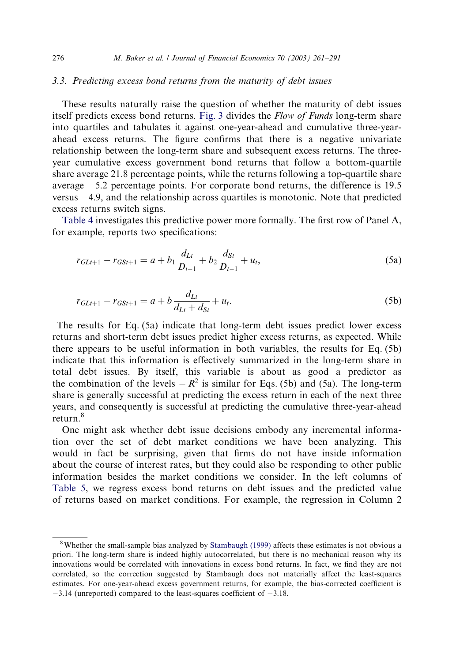# 3.3. Predicting excess bond returns from the maturity of debt issues

These results naturally raise the question of whether the maturity of debt issues itself predicts excess bond returns. [Fig. 3](#page-16-0) divides the Flow of Funds long-term share into quartiles and tabulates it against one-year-ahead and cumulative three-yearahead excess returns. The figure confirms that there is a negative univariate relationship between the long-term share and subsequent excess returns. The threeyear cumulative excess government bond returns that follow a bottom-quartile share average 21.8 percentage points, while the returns following a top-quartile share average  $-5.2$  percentage points. For corporate bond returns, the difference is 19.5 versus  $-4.9$ , and the relationship across quartiles is monotonic. Note that predicted excess returns switch signs.

Table 4 investigates this predictive power more formally. The first row of Panel A, for example, reports two specifications:

$$
r_{GLt+1} - r_{GSt+1} = a + b_1 \frac{d_{Lt}}{D_{t-1}} + b_2 \frac{d_{St}}{D_{t-1}} + u_t,
$$
\n(5a)

$$
r_{GLt+1} - r_{GSt+1} = a + b \frac{d_{Lt}}{d_{Lt} + d_{St}} + u_t.
$$
 (5b)

The results for Eq. (5a) indicate that long-term debt issues predict lower excess returns and short-term debt issues predict higher excess returns, as expected. While there appears to be useful information in both variables, the results for Eq. (5b) indicate that this information is effectively summarized in the long-term share in total debt issues. By itself, this variable is about as good a predictor as the combination of the levels  $-R^2$  is similar for Eqs. (5b) and (5a). The long-term share is generally successful at predicting the excess return in each of the next three years, and consequently is successful at predicting the cumulative three-year-ahead return.<sup>8</sup>

One might ask whether debt issue decisions embody any incremental information over the set of debt market conditions we have been analyzing. This would in fact be surprising, given that firms do not have inside information about the course of interest rates, but they could also be responding to other public information besides the market conditions we consider. In the left columns of Table 5, we regress excess bond returns on debt issues and the predicted value of returns based on market conditions. For example, the regression in Column 2

<sup>&</sup>lt;sup>8</sup>Whether the small-sample bias analyzed by [Stambaugh \(1999\)](#page-30-0) affects these estimates is not obvious a priori. The long-term share is indeed highly autocorrelated, but there is no mechanical reason why its innovations would be correlated with innovations in excess bond returns. In fact, we find they are not correlated, so the correction suggested by Stambaugh does not materially affect the least-squares estimates. For one-year-ahead excess government returns, for example, the bias-corrected coefficient is  $-3.14$  (unreported) compared to the least-squares coefficient of  $-3.18$ .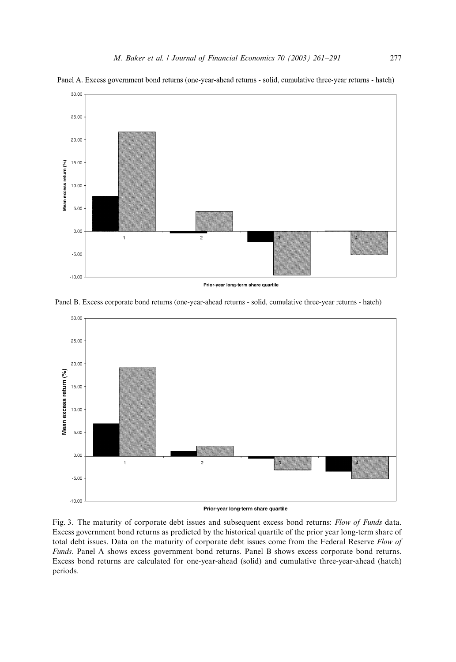<span id="page-16-0"></span>

Panel B. Excess corporate bond returns (one-year-ahead returns - solid, cumulative three-year returns - hatch)



Prior-year long-term share quartile

Fig. 3. The maturity of corporate debt issues and subsequent excess bond returns: Flow of Funds data. Excess government bond returns as predicted by the historical quartile of the prior year long-term share of total debt issues. Data on the maturity of corporate debt issues come from the Federal Reserve Flow of Funds. Panel A shows excess government bond returns. Panel B shows excess corporate bond returns. Excess bond returns are calculated for one-year-ahead (solid) and cumulative three-year-ahead (hatch) periods.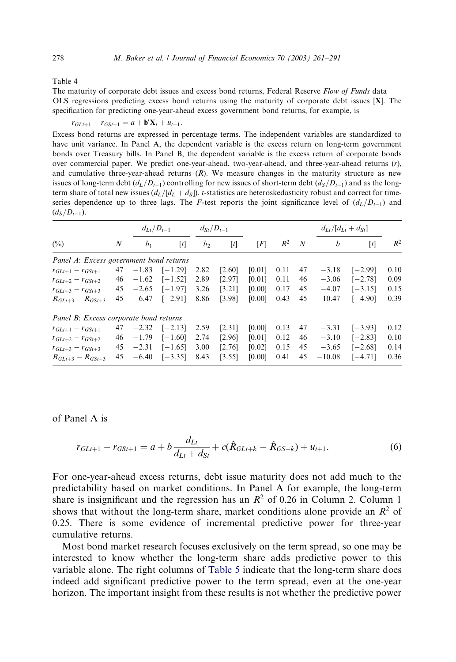The maturity of corporate debt issues and excess bond returns, Federal Reserve Flow of Funds data OLS regressions predicting excess bond returns using the maturity of corporate debt issues [X]. The specification for predicting one-year-ahead excess government bond returns, for example, is

$$
r_{GLt+1}-r_{GSt+1}=a+\mathbf{b}'\mathbf{X}_{t}+u_{t+1}.
$$

Excess bond returns are expressed in percentage terms. The independent variables are standardized to have unit variance. In Panel A, the dependent variable is the excess return on long-term government bonds over Treasury bills. In Panel B, the dependent variable is the excess return of corporate bonds over commercial paper. We predict one-year-ahead, two-year-ahead, and three-year-ahead returns  $(r)$ , and cumulative three-year-ahead returns  $(R)$ . We measure changes in the maturity structure as new issues of long-term debt  $(d_L/D_{t-1})$  controlling for new issues of short-term debt  $(d_S/D_{t-1})$  and as the longterm share of total new issues  $\left(\frac{d_L}{d_L} + \frac{d_S}{d_S}\right)$ . t-statistics are heteroskedasticity robust and correct for timeseries dependence up to three lags. The F-test reports the joint significance level of  $(d_L/D_{t-1})$  and  $(d_S/D_{t-1})$ .

|                                         |    | $d_{Lt}/D_{t-1}$ |           |      | $d_{St}/D_{t-1}$      |        |       |                  | $d_{Lt}/[d_{Lt} + d_{St}]$ |           |      |
|-----------------------------------------|----|------------------|-----------|------|-----------------------|--------|-------|------------------|----------------------------|-----------|------|
| $(\%)$                                  | N  | b <sub>1</sub>   | [t]       |      | [t]<br>b <sub>2</sub> |        | $R^2$ | $\boldsymbol{N}$ | $\boldsymbol{h}$           | [t]       |      |
| Panel A: Excess government bond returns |    |                  |           |      |                       |        |       |                  |                            |           |      |
| $r_{GLt+1} - r_{GSt+1}$                 | 47 | $-1.83$          | $[-1.29]$ | 2.82 | [2.60]                | [0.01] | 0.11  | 47               | $-3.18$                    | $[-2.99]$ | 0.10 |
| $r_{GLt+2} - r_{GSt+2}$                 | 46 | $-1.62$          | $[-1.52]$ | 2.89 | [2.97]                | [0.01] | 0.11  | 46               | $-3.06$                    | $[-2.78]$ | 0.09 |
| $r_{GLt+3} - r_{GSt+3}$                 | 45 | $-2.65$          | $[-1.97]$ | 3.26 | [3.21]                | [0.00] | 0.17  | 45               | $-4.07$                    | $[-3.15]$ | 0.15 |
| $R_{GLt+3} - R_{GSt+3}$                 | 45 | $-6.47$          | $[-2.91]$ | 8.86 | [3.98]                | [0.00] | 0.43  | 45               | $-10.47$                   | $[-4.90]$ | 0.39 |
| Panel B: Excess corporate bond returns  |    |                  |           |      |                       |        |       |                  |                            |           |      |
| $r_{GLt+1} - r_{GSt+1}$                 | 47 | $-2.32$          | $[-2.13]$ | 2.59 | [2.31]                | [0.00] | 0.13  | 47               | $-3.31$                    | $[-3.93]$ | 0.12 |
| $r_{GLt+2} - r_{GSt+2}$                 | 46 | $-1.79$          | $[-1.60]$ | 2.74 | [2.96]                | [0.01] | 0.12  | 46               | $-3.10$                    | $[-2.83]$ | 0.10 |
| $r_{GLt+3} - r_{GSt+3}$                 | 45 | $-2.31$          | $[-1.65]$ | 3.00 | [2.76]                | [0.02] | 0.15  | 45               | $-3.65$                    | $[-2.68]$ | 0.14 |
| $R_{GLt+3} - R_{GSt+3}$                 | 45 | $-6.40$          | $[-3.35]$ | 8.43 | [3.55]                | [0.00] | 0.41  | 45               | $-10.08$                   | $[-4.71]$ | 0.36 |

of Panel A is

$$
r_{GLt+1} - r_{GSt+1} = a + b \frac{d_{Lt}}{d_{Lt} + d_{St}} + c(\hat{R}_{GLt+k} - \hat{R}_{GS+k}) + u_{t+1}.
$$
 (6)

For one-year-ahead excess returns, debt issue maturity does not add much to the predictability based on market conditions. In Panel A for example, the long-term share is insignificant and the regression has an  $R^2$  of 0.26 in Column 2. Column 1 shows that without the long-term share, market conditions alone provide an  $R^2$  of 0.25. There is some evidence of incremental predictive power for three-year cumulative returns.

Most bond market research focuses exclusively on the term spread, so one may be interested to know whether the long-term share adds predictive power to this variable alone. The right columns of Table 5 indicate that the long-term share does indeed add significant predictive power to the term spread, even at the one-year horizon. The important insight from these results is not whether the predictive power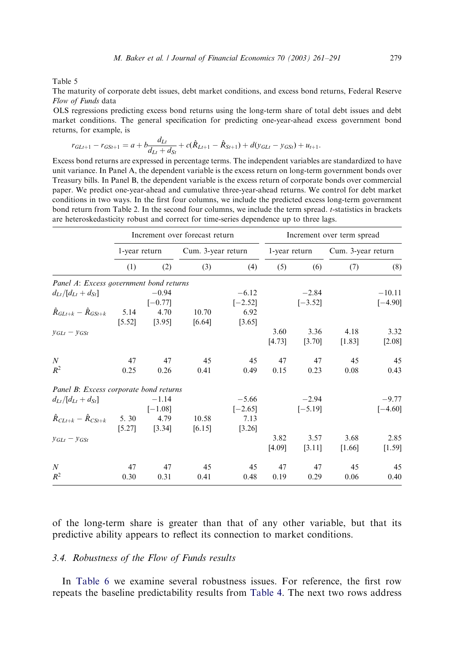The maturity of corporate debt issues, debt market conditions, and excess bond returns, Federal Reserve Flow of Funds data

OLS regressions predicting excess bond returns using the long-term share of total debt issues and debt market conditions. The general specification for predicting one-year-ahead excess government bond returns, for example, is

$$
r_{GLt+1} - r_{GSt+1} = a + b \frac{d_{Lt}}{d_{Lt} + d_{St}} + c(\hat{R}_{Lt+1} - \hat{R}_{St+1}) + d(y_{GLt} - y_{GSt}) + u_{t+1}.
$$

Excess bond returns are expressed in percentage terms. The independent variables are standardized to have unit variance. In Panel A, the dependent variable is the excess return on long-term government bonds over Treasury bills. In Panel B, the dependent variable is the excess return of corporate bonds over commercial paper. We predict one-year-ahead and cumulative three-year-ahead returns. We control for debt market conditions in two ways. In the first four columns, we include the predicted excess long-term government bond return from Table 2. In the second four columns, we include the term spread. t-statistics in brackets are heteroskedasticity robust and correct for time-series dependence up to three lags.

|                                         |               |           | Increment over forecast return |           |               |           | Increment over term spread |           |
|-----------------------------------------|---------------|-----------|--------------------------------|-----------|---------------|-----------|----------------------------|-----------|
|                                         | 1-year return |           | Cum. 3-year return             |           | 1-year return |           | Cum. 3-year return         |           |
|                                         | (1)           | (2)       | (3)                            | (4)       | (5)           | (6)       | (7)                        | (8)       |
| Panel A: Excess government bond returns |               |           |                                |           |               |           |                            |           |
| $d_{Lt}/[d_{Lt} + d_{St}]$              |               | $-0.94$   |                                | $-6.12$   |               | $-2.84$   |                            | $-10.11$  |
|                                         |               | $[-0.77]$ |                                | $[-2.52]$ |               | $[-3.52]$ |                            | $[-4.90]$ |
| $\hat{R}_{GLt+k} - \hat{R}_{GSt+k}$     | 5.14          | 4.70      | 10.70                          | 6.92      |               |           |                            |           |
|                                         | [5.52]        | [3.95]    | [6.64]                         | [3.65]    |               |           |                            |           |
| $y_{GLt} - y_{GSt}$                     |               |           |                                |           | 3.60          | 3.36      | 4.18                       | 3.32      |
|                                         |               |           |                                |           | [4.73]        | [3.70]    | [1.83]                     | [2.08]    |
| $\cal N$                                | 47            | 47        | 45                             | 45        | 47            | 47        | 45                         | 45        |
| $R^2$                                   | 0.25          | 0.26      | 0.41                           | 0.49      | 0.15          | 0.23      | 0.08                       | 0.43      |
| Panel B: Excess corporate bond returns  |               |           |                                |           |               |           |                            |           |
| $d_{Lt}/[d_{Lt} + d_{St}]$              |               | $-1.14$   |                                | $-5.66$   |               | $-2.94$   |                            | $-9.77$   |
|                                         |               | $[-1.08]$ |                                | $[-2.65]$ |               | $[-5.19]$ |                            | $[-4.60]$ |
| $\hat{R}_{CLt+k} - \hat{R}_{CSt+k}$     | 5.30          | 4.79      | 10.58                          | 7.13      |               |           |                            |           |
|                                         | [5.27]        | [3.34]    | [6.15]                         | [3.26]    |               |           |                            |           |
| $y_{GLt} - y_{GSt}$                     |               |           |                                |           | 3.82          | 3.57      | 3.68                       | 2.85      |
|                                         |               |           |                                |           | [4.09]        | [3.11]    | [1.66]                     | [1.59]    |
| $\boldsymbol{N}$                        | 47            | 47        | 45                             | 45        | 47            | 47        | 45                         | 45        |
| $R^2$                                   | 0.30          | 0.31      | 0.41                           | 0.48      | 0.19          | 0.29      | 0.06                       | 0.40      |

of the long-term share is greater than that of any other variable, but that its predictive ability appears to reflect its connection to market conditions.

### 3.4. Robustness of the Flow of Funds results

In Table 6 we examine several robustness issues. For reference, the first row repeats the baseline predictability results from Table 4. The next two rows address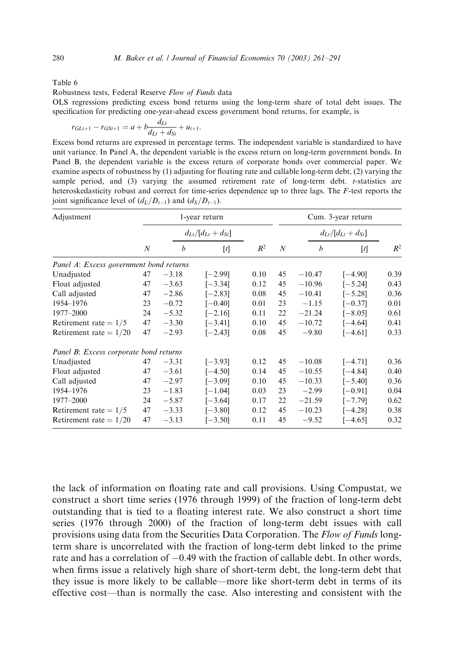Robustness tests, Federal Reserve Flow of Funds data

OLS regressions predicting excess bond returns using the long-term share of total debt issues. The specification for predicting one-year-ahead excess government bond returns, for example, is

$$
r_{GLt+1} - r_{GSt+1} = a + b \frac{d_{Lt}}{d_{Lt} + d_{St}} + u_{t+1}.
$$

Excess bond returns are expressed in percentage terms. The independent variable is standardized to have unit variance. In Panel A, the dependent variable is the excess return on long-term government bonds. In Panel B, the dependent variable is the excess return of corporate bonds over commercial paper. We examine aspects of robustness by (1) adjusting for floating rate and callable long-term debt, (2) varying the sample period, and  $(3)$  varying the assumed retirement rate of long-term debt. *t*-statistics are heteroskedasticity robust and correct for time-series dependence up to three lags. The F-test reports the joint significance level of  $(d_L/D_{t-1})$  and  $(d_S/D_{t-1})$ .

| Adjustment                              |                            |                  | 1-year return |       |                  | Cum. 3-year return |                            |       |  |  |  |  |
|-----------------------------------------|----------------------------|------------------|---------------|-------|------------------|--------------------|----------------------------|-------|--|--|--|--|
|                                         | $d_{Lt}/[d_{Lt} + d_{St}]$ |                  |               |       |                  |                    | $d_{Lt}/[d_{Lt} + d_{St}]$ |       |  |  |  |  |
|                                         | $\boldsymbol{N}$           | $\boldsymbol{h}$ | [t]           | $R^2$ | $\boldsymbol{N}$ | $\boldsymbol{b}$   | [t]                        | $R^2$ |  |  |  |  |
| Panel A: Excess government bond returns |                            |                  |               |       |                  |                    |                            |       |  |  |  |  |
| Unadjusted                              | 47                         | $-3.18$          | $[-2.99]$     | 0.10  | 45               | $-10.47$           | $[-4.90]$                  | 0.39  |  |  |  |  |
| Float adjusted                          | 47                         | $-3.63$          | $[-3.34]$     | 0.12  | 45               | $-10.96$           | $[-5.24]$                  | 0.43  |  |  |  |  |
| Call adjusted                           | 47                         | $-2.86$          | $[-2.83]$     | 0.08  | 45               | $-10.41$           | $[-5.28]$                  | 0.36  |  |  |  |  |
| 1954-1976                               | 23                         | $-0.72$          | $[-0.40]$     | 0.01  | 23               | $-1.15$            | $[-0.37]$                  | 0.01  |  |  |  |  |
| 1977-2000                               | 24                         | $-5.32$          | $[-2.16]$     | 0.11  | 22               | $-21.24$           | $[-8.05]$                  | 0.61  |  |  |  |  |
| Retirement rate = $1/5$                 | 47                         | $-3.30$          | $[-3.41]$     | 0.10  | 45               | $-10.72$           | $[-4.64]$                  | 0.41  |  |  |  |  |
| Retirement rate = $1/20$                | 47                         | $-2.93$          | $[-2.43]$     | 0.08  | 45               | $-9.80$            | $[-4.61]$                  | 0.33  |  |  |  |  |
| Panel B: Excess corporate bond returns  |                            |                  |               |       |                  |                    |                            |       |  |  |  |  |
| Unadjusted                              | 47                         | $-3.31$          | $[-3.93]$     | 0.12  | 45               | $-10.08$           | $[-4.71]$                  | 0.36  |  |  |  |  |
| Float adjusted                          | 47                         | $-3.61$          | $[-4.50]$     | 0.14  | 45               | $-10.55$           | $[-4.84]$                  | 0.40  |  |  |  |  |
| Call adjusted                           | 47                         | $-2.97$          | $[-3.09]$     | 0.10  | 45               | $-10.33$           | $[-5.40]$                  | 0.36  |  |  |  |  |
| 1954-1976                               | 23                         | $-1.83$          | $[-1.04]$     | 0.03  | 23               | $-2.99$            | $[-0.91]$                  | 0.04  |  |  |  |  |
| 1977-2000                               | 24                         | $-5.87$          | $[-3.64]$     | 0.17  | 22               | $-21.59$           | $[-7.79]$                  | 0.62  |  |  |  |  |
| Retirement rate $= 1/5$                 | 47                         | $-3.33$          | $[-3.80]$     | 0.12  | 45               | $-10.23$           | $[-4.28]$                  | 0.38  |  |  |  |  |
| Retirement rate = $1/20$                | 47                         | $-3.13$          | $[-3.50]$     | 0.11  | 45               | $-9.52$            | $[-4.65]$                  | 0.32  |  |  |  |  |

the lack of information on floating rate and call provisions. Using Compustat, we construct a short time series (1976 through 1999) of the fraction of long-term debt outstanding that is tied to a floating interest rate. We also construct a short time series (1976 through 2000) of the fraction of long-term debt issues with call provisions using data from the Securities Data Corporation. The Flow of Funds longterm share is uncorrelated with the fraction of long-term debt linked to the prime rate and has a correlation of  $-0.49$  with the fraction of callable debt. In other words, when firms issue a relatively high share of short-term debt, the long-term debt that they issue is more likely to be callable—more like short-term debt in terms of its effective cost—than is normally the case. Also interesting and consistent with the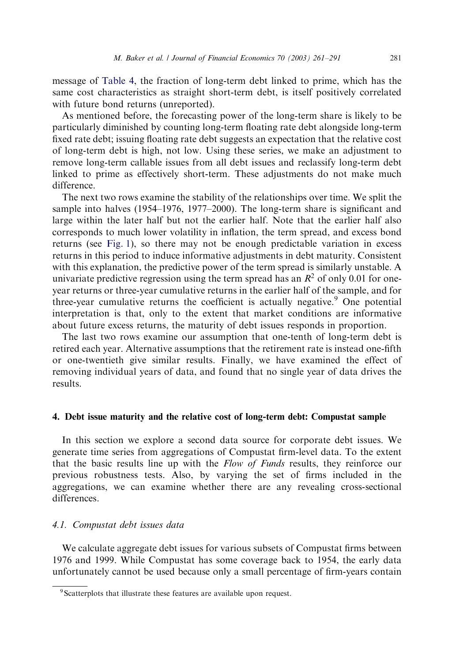message of Table 4, the fraction of long-term debt linked to prime, which has the same cost characteristics as straight short-term debt, is itself positively correlated with future bond returns (unreported).

As mentioned before, the forecasting power of the long-term share is likely to be particularly diminished by counting long-term floating rate debt alongside long-term fixed rate debt; issuing floating rate debt suggests an expectation that the relative cost of long-term debt is high, not low. Using these series, we make an adjustment to remove long-term callable issues from all debt issues and reclassify long-term debt linked to prime as effectively short-term. These adjustments do not make much difference.

The next two rows examine the stability of the relationships over time. We split the sample into halves (1954–1976, 1977–2000). The long-term share is significant and large within the later half but not the earlier half. Note that the earlier half also corresponds to much lower volatility in inflation, the term spread, and excess bond returns (see [Fig. 1](#page-6-0)), so there may not be enough predictable variation in excess returns in this period to induce informative adjustments in debt maturity. Consistent with this explanation, the predictive power of the term spread is similarly unstable. A univariate predictive regression using the term spread has an  $R^2$  of only 0.01 for oneyear returns or three-year cumulative returns in the earlier half of the sample, and for three-year cumulative returns the coefficient is actually negative.<sup>9</sup> One potential interpretation is that, only to the extent that market conditions are informative about future excess returns, the maturity of debt issues responds in proportion.

The last two rows examine our assumption that one-tenth of long-term debt is retired each year. Alternative assumptions that the retirement rate is instead one-fifth or one-twentieth give similar results. Finally, we have examined the effect of removing individual years of data, and found that no single year of data drives the results.

# 4. Debt issue maturity and the relative cost of long-term debt: Compustat sample

In this section we explore a second data source for corporate debt issues. We generate time series from aggregations of Compustat firm-level data. To the extent that the basic results line up with the Flow of Funds results, they reinforce our previous robustness tests. Also, by varying the set of firms included in the aggregations, we can examine whether there are any revealing cross-sectional differences.

### 4.1. Compustat debt issues data

We calculate aggregate debt issues for various subsets of Compustat firms between 1976 and 1999. While Compustat has some coverage back to 1954, the early data unfortunately cannot be used because only a small percentage of firm-years contain

<sup>&</sup>lt;sup>9</sup> Scatterplots that illustrate these features are available upon request.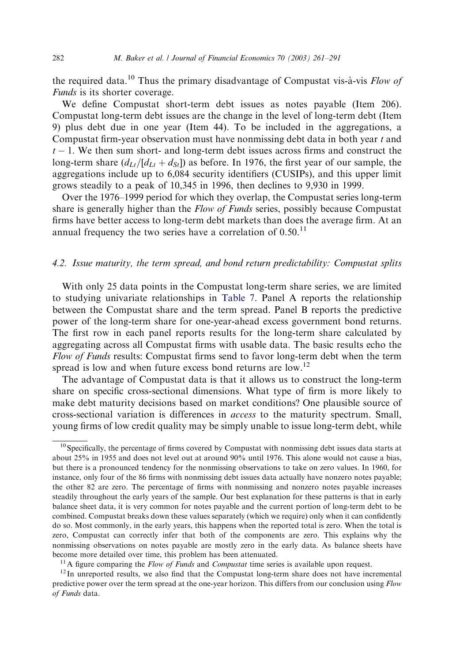the required data.<sup>10</sup> Thus the primary disadvantage of Compustat vis- $\hat{a}$ -vis Flow of Funds is its shorter coverage.

We define Compustat short-term debt issues as notes payable (Item 206). Compustat long-term debt issues are the change in the level of long-term debt (Item 9) plus debt due in one year (Item 44). To be included in the aggregations, a Compustat firm-year observation must have nonmissing debt data in both year t and  $t - 1$ . We then sum short- and long-term debt issues across firms and construct the long-term share  $(d_{Lt}/[d_{Lt} + d_{St}])$  as before. In 1976, the first year of our sample, the aggregations include up to 6,084 security identifiers (CUSIPs), and this upper limit grows steadily to a peak of 10,345 in 1996, then declines to 9,930 in 1999.

Over the 1976–1999 period for which they overlap, the Compustat series long-term share is generally higher than the *Flow of Funds* series, possibly because Compustat firms have better access to long-term debt markets than does the average firm. At an annual frequency the two series have a correlation of  $0.50$ .<sup>11</sup>

### 4.2. Issue maturity, the term spread, and bond return predictability: Compustat splits

With only 25 data points in the Compustat long-term share series, we are limited to studying univariate relationships in Table 7. Panel A reports the relationship between the Compustat share and the term spread. Panel B reports the predictive power of the long-term share for one-year-ahead excess government bond returns. The first row in each panel reports results for the long-term share calculated by aggregating across all Compustat firms with usable data. The basic results echo the Flow of Funds results: Compustat firms send to favor long-term debt when the term spread is low and when future excess bond returns are low.<sup>12</sup>

The advantage of Compustat data is that it allows us to construct the long-term share on specific cross-sectional dimensions. What type of firm is more likely to make debt maturity decisions based on market conditions? One plausible source of cross-sectional variation is differences in access to the maturity spectrum. Small, young firms of low credit quality may be simply unable to issue long-term debt, while

 $10$  Specifically, the percentage of firms covered by Compustat with nonmissing debt issues data starts at about 25% in 1955 and does not level out at around 90% until 1976. This alone would not cause a bias, but there is a pronounced tendency for the nonmissing observations to take on zero values. In 1960, for instance, only four of the 86 firms with nonmissing debt issues data actually have nonzero notes payable; the other 82 are zero. The percentage of firms with nonmissing and nonzero notes payable increases steadily throughout the early years of the sample. Our best explanation for these patterns is that in early balance sheet data, it is very common for notes payable and the current portion of long-term debt to be combined. Compustat breaks down these values separately (which we require) only when it can confidently do so. Most commonly, in the early years, this happens when the reported total is zero. When the total is zero, Compustat can correctly infer that both of the components are zero. This explains why the nonmissing observations on notes payable are mostly zero in the early data. As balance sheets have become more detailed over time, this problem has been attenuated.<br> $^{11}$ A figure comparing the *Flow of Funds* and *Compustat* time series is available upon request.

<sup>&</sup>lt;sup>12</sup>In unreported results, we also find that the Compustat long-term share does not have incremental predictive power over the term spread at the one-year horizon. This differs from our conclusion using Flow of Funds data.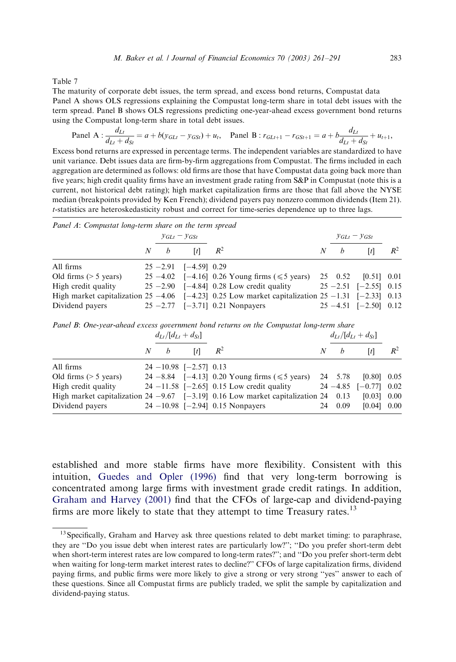The maturity of corporate debt issues, the term spread, and excess bond returns, Compustat data Panel A shows OLS regressions explaining the Compustat long-term share in total debt issues with the term spread. Panel B shows OLS regressions predicting one-year-ahead excess government bond returns using the Compustat long-term share in total debt issues.

$$
\text{ Panel A}: \frac{d_{Lt}}{d_{Lt} + d_{St}} = a + b(y_{GLt} - y_{GSt}) + u_t, \quad \text{Panel B}: r_{GLt+1} - r_{GSt+1} = a + b \frac{d_{Lt}}{d_{Lt} + d_{St}} + u_{t+1},
$$

Excess bond returns are expressed in percentage terms. The independent variables are standardized to have unit variance. Debt issues data are firm-by-firm aggregations from Compustat. The firms included in each aggregation are determined as follows: old firms are those that have Compustat data going back more than five years; high credit quality firms have an investment grade rating from S&P in Compustat (note this is a current, not historical debt rating); high market capitalization firms are those that fall above the NYSE median (breakpoints provided by Ken French); dividend payers pay nonzero common dividends (Item 21). t-statistics are heteroskedasticity robust and correct for time-series dependence up to three lags.

Panel A: Compustat long-term share on the term spread

|                                                                                                        |             | $y_{GLt} - y_{GSt}$      |                                                                          | $y_{GLt} - y_{GSt}$ |                          |       |  |
|--------------------------------------------------------------------------------------------------------|-------------|--------------------------|--------------------------------------------------------------------------|---------------------|--------------------------|-------|--|
|                                                                                                        | $N \quad b$ | $\lceil t \rceil$ $R^2$  |                                                                          | $N \quad b$         | [t]                      | $R^2$ |  |
| All firms                                                                                              |             | $25 - 2.91$ [-4.59] 0.29 |                                                                          |                     |                          |       |  |
| Old firms $($ > 5 years)                                                                               |             |                          | $25 -4.02$ [-4.16] 0.26 Young firms ( $\le 5$ years) 25 0.52 [0.51] 0.01 |                     |                          |       |  |
| High credit quality                                                                                    |             |                          | $25 - 2.90$ [-4.84] 0.28 Low credit quality $25 - 2.51$ [-2.55] 0.15     |                     |                          |       |  |
| High market capitalization $25 - 4.06$ [-4.23] 0.25 Low market capitalization $25 - 1.31$ [-2.33] 0.13 |             |                          |                                                                          |                     |                          |       |  |
| Dividend payers                                                                                        |             |                          | $25 - 2.77$ [-3.71] 0.21 Nonpayers                                       |                     | $25 - 4.51$ [-2.50] 0.12 |       |  |

|  |  | Panel B: One-year-ahead excess government bond returns on the Compustat long-term share |  |  |  |
|--|--|-----------------------------------------------------------------------------------------|--|--|--|
|--|--|-----------------------------------------------------------------------------------------|--|--|--|

|                                                                                       | $d_{Lt}/[d_{Lt} + d_{St}]$ |                           |       |                                                             | $d_{Lt}/[d_{Lt} + d_{St}]$ |                          |       |
|---------------------------------------------------------------------------------------|----------------------------|---------------------------|-------|-------------------------------------------------------------|----------------------------|--------------------------|-------|
|                                                                                       | $N \quad b$                | [t]                       | $R^2$ |                                                             | $N \quad b$                |                          | $R^2$ |
| All firms                                                                             |                            | $24 - 10.98$ [-2.57] 0.13 |       |                                                             |                            |                          |       |
| Old firms $($ > 5 years)                                                              |                            |                           |       | 24 -8.84 [-4.13] 0.20 Young firms ( $\leq 5$ years) 24 5.78 |                            | $[0.80]$ 0.05            |       |
| High credit quality                                                                   |                            |                           |       | $24 - 11.58$ [-2.65] 0.15 Low credit quality                |                            | $24 - 4.85$ [-0.77] 0.02 |       |
| High market capitalization $24 - 9.67$ [-3.19] 0.16 Low market capitalization 24 0.13 |                            |                           |       |                                                             |                            | $[0.03]$ 0.00            |       |
| Dividend payers                                                                       |                            |                           |       | $24 - 10.98$ [-2.94] 0.15 Nonpayers                         | 24 0.09                    | $[0.04]$ 0.00            |       |

established and more stable firms have more flexibility. Consistent with this intuition, [Guedes and Opler \(1996\)](#page-29-0) find that very long-term borrowing is concentrated among large firms with investment grade credit ratings. In addition, [Graham and Harvey \(2001\)](#page-29-0) find that the CFOs of large-capand dividend-paying firms are more likely to state that they attempt to time Treasury rates.<sup>13</sup>

<sup>&</sup>lt;sup>13</sup> Specifically, Graham and Harvey ask three questions related to debt market timing: to paraphrase, they are ''Do you issue debt when interest rates are particularly low?''; ''Do you prefer short-term debt when short-term interest rates are low compared to long-term rates?''; and ''Do you prefer short-term debt when waiting for long-term market interest rates to decline?" CFOs of large capitalization firms, dividend paying firms, and public firms were more likely to give a strong or very strong ''yes'' answer to each of these questions. Since all Compustat firms are publicly traded, we split the sample by capitalization and dividend-paying status.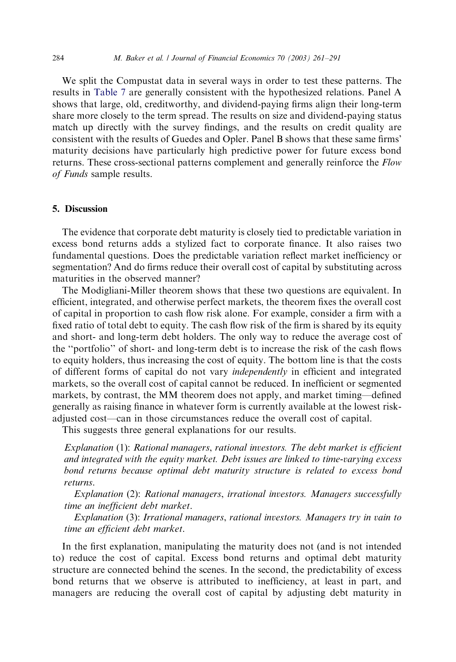We split the Compustat data in several ways in order to test these patterns. The results in Table 7 are generally consistent with the hypothesized relations. Panel A shows that large, old, creditworthy, and dividend-paying firms align their long-term share more closely to the term spread. The results on size and dividend-paying status match up directly with the survey findings, and the results on credit quality are consistent with the results of Guedes and Opler. Panel B shows that these same firms' maturity decisions have particularly high predictive power for future excess bond returns. These cross-sectional patterns complement and generally reinforce the Flow of Funds sample results.

### 5. Discussion

The evidence that corporate debt maturity is closely tied to predictable variation in excess bond returns adds a stylized fact to corporate finance. It also raises two fundamental questions. Does the predictable variation reflect market inefficiency or segmentation? And do firms reduce their overall cost of capital by substituting across maturities in the observed manner?

The Modigliani-Miller theorem shows that these two questions are equivalent. In efficient, integrated, and otherwise perfect markets, the theorem fixes the overall cost of capital in proportion to cash flow risk alone. For example, consider a firm with a fixed ratio of total debt to equity. The cash flow risk of the firm is shared by its equity and short- and long-term debt holders. The only way to reduce the average cost of the ''portfolio'' of short- and long-term debt is to increase the risk of the cash flows to equity holders, thus increasing the cost of equity. The bottom line is that the costs of different forms of capital do not vary independently in efficient and integrated markets, so the overall cost of capital cannot be reduced. In inefficient or segmented markets, by contrast, the MM theorem does not apply, and market timing—defined generally as raising finance in whatever form is currently available at the lowest riskadjusted cost—can in those circumstances reduce the overall cost of capital.

This suggests three general explanations for our results.

Explanation (1): Rational managers, rational investors. The debt market is efficient and integrated with the equity market. Debt issues are linked to time-varying excess bond returns because optimal debt maturity structure is related to excess bond returns.

Explanation (2): Rational managers, irrational investors. Managers successfully time an inefficient debt market.

Explanation (3): Irrational managers, rational investors. Managers try in vain to time an efficient debt market.

In the first explanation, manipulating the maturity does not (and is not intended to) reduce the cost of capital. Excess bond returns and optimal debt maturity structure are connected behind the scenes. In the second, the predictability of excess bond returns that we observe is attributed to inefficiency, at least in part, and managers are reducing the overall cost of capital by adjusting debt maturity in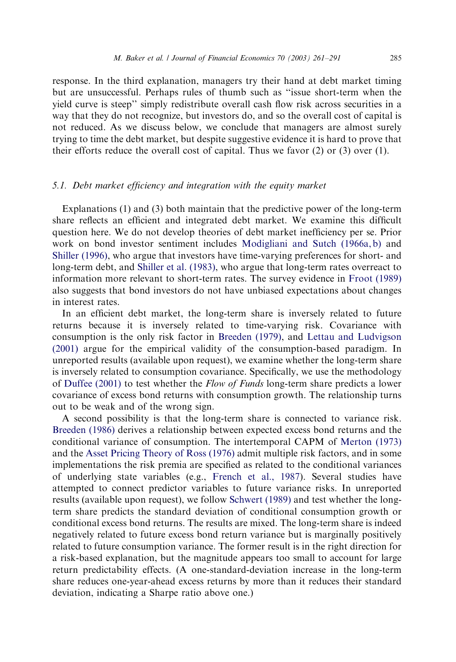response. In the third explanation, managers try their hand at debt market timing but are unsuccessful. Perhaps rules of thumb such as ''issue short-term when the yield curve is steep'' simply redistribute overall cash flow risk across securities in a way that they do not recognize, but investors do, and so the overall cost of capital is not reduced. As we discuss below, we conclude that managers are almost surely trying to time the debt market, but despite suggestive evidence it is hard to prove that their efforts reduce the overall cost of capital. Thus we favor (2) or (3) over (1).

### 5.1. Debt market efficiency and integration with the equity market

Explanations (1) and (3) both maintain that the predictive power of the long-term share reflects an efficient and integrated debt market. We examine this difficult question here. We do not develop theories of debt market inefficiency per se. Prior work on bond investor sentiment includes [Modigliani and Sutch \(1966a, b\)](#page-29-0) and [Shiller \(1996\)](#page-30-0), who argue that investors have time-varying preferences for short- and long-term debt, and [Shiller et al. \(1983\)](#page-30-0), who argue that long-term rates overreact to information more relevant to short-term rates. The survey evidence in [Froot \(1989\)](#page-29-0) also suggests that bond investors do not have unbiased expectations about changes in interest rates.

In an efficient debt market, the long-term share is inversely related to future returns because it is inversely related to time-varying risk. Covariance with consumption is the only risk factor in [Breeden \(1979\)](#page-28-0), and [Lettau and Ludvigson](#page-29-0) [\(2001\)](#page-29-0) argue for the empirical validity of the consumption-based paradigm. In unreported results (available upon request), we examine whether the long-term share is inversely related to consumption covariance. Specifically, we use the methodology of [Duffee \(2001\)](#page-28-0) to test whether the Flow of Funds long-term share predicts a lower covariance of excess bond returns with consumption growth. The relationship turns out to be weak and of the wrong sign.

A second possibility is that the long-term share is connected to variance risk. [Breeden \(1986\)](#page-28-0) derives a relationship between expected excess bond returns and the conditional variance of consumption. The intertemporal CAPM of [Merton \(1973\)](#page-29-0) and the [Asset Pricing Theory of Ross \(1976\)](#page-30-0) admit multiple risk factors, and in some implementations the risk premia are specified as related to the conditional variances of underlying state variables (e.g., [French et al., 1987\)](#page-29-0). Several studies have attempted to connect predictor variables to future variance risks. In unreported results (available upon request), we follow [Schwert \(1989\)](#page-30-0) and test whether the longterm share predicts the standard deviation of conditional consumption growth or conditional excess bond returns. The results are mixed. The long-term share is indeed negatively related to future excess bond return variance but is marginally positively related to future consumption variance. The former result is in the right direction for a risk-based explanation, but the magnitude appears too small to account for large return predictability effects. (A one-standard-deviation increase in the long-term share reduces one-year-ahead excess returns by more than it reduces their standard deviation, indicating a Sharpe ratio above one.)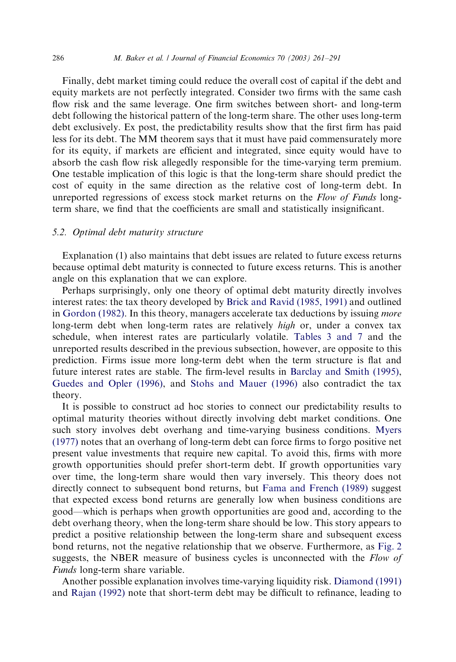Finally, debt market timing could reduce the overall cost of capital if the debt and equity markets are not perfectly integrated. Consider two firms with the same cash flow risk and the same leverage. One firm switches between short- and long-term debt following the historical pattern of the long-term share. The other uses long-term debt exclusively. Ex post, the predictability results show that the first firm has paid less for its debt. The MM theorem says that it must have paid commensurately more for its equity, if markets are efficient and integrated, since equity would have to absorb the cash flow risk allegedly responsible for the time-varying term premium. One testable implication of this logic is that the long-term share should predict the cost of equity in the same direction as the relative cost of long-term debt. In unreported regressions of excess stock market returns on the Flow of Funds longterm share, we find that the coefficients are small and statistically insignificant.

### 5.2. Optimal debt maturity structure

Explanation (1) also maintains that debt issues are related to future excess returns because optimal debt maturity is connected to future excess returns. This is another angle on this explanation that we can explore.

Perhaps surprisingly, only one theory of optimal debt maturity directly involves interest rates: the tax theory developed by [Brick and Ravid \(1985, 1991\)](#page-28-0) and outlined in [Gordon \(1982\).](#page-29-0) In this theory, managers accelerate tax deductions by issuing more long-term debt when long-term rates are relatively *high* or, under a convex tax schedule, when interest rates are particularly volatile. Tables 3 and 7 and the unreported results described in the previous subsection, however, are opposite to this prediction. Firms issue more long-term debt when the term structure is flat and future interest rates are stable. The firm-level results in [Barclay and Smith \(1995\),](#page-28-0) [Guedes and Opler \(1996\)](#page-29-0), and [Stohs and Mauer \(1996\)](#page-30-0) also contradict the tax theory.

It is possible to construct ad hoc stories to connect our predictability results to optimal maturity theories without directly involving debt market conditions. One such story involves debt overhang and time-varying business conditions. [Myers](#page-29-0) [\(1977\)](#page-29-0) notes that an overhang of long-term debt can force firms to forgo positive net present value investments that require new capital. To avoid this, firms with more growth opportunities should prefer short-term debt. If growth opportunities vary over time, the long-term share would then vary inversely. This theory does not directly connect to subsequent bond returns, but [Fama and French \(1989\)](#page-28-0) suggest that expected excess bond returns are generally low when business conditions are good—which is perhaps when growth opportunities are good and, according to the debt overhang theory, when the long-term share should be low. This story appears to predict a positive relationship between the long-term share and subsequent excess bond returns, not the negative relationship that we observe. Furthermore, as [Fig. 2](#page-12-0) suggests, the NBER measure of business cycles is unconnected with the Flow of Funds long-term share variable.

Another possible explanation involves time-varying liquidity risk. [Diamond \(1991\)](#page-28-0) and [Rajan \(1992\)](#page-29-0) note that short-term debt may be difficult to refinance, leading to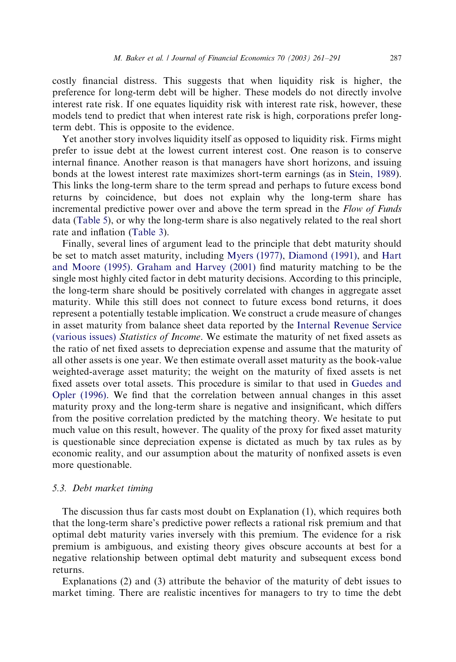costly financial distress. This suggests that when liquidity risk is higher, the preference for long-term debt will be higher. These models do not directly involve interest rate risk. If one equates liquidity risk with interest rate risk, however, these models tend to predict that when interest rate risk is high, corporations prefer longterm debt. This is opposite to the evidence.

Yet another story involves liquidity itself as opposed to liquidity risk. Firms might prefer to issue debt at the lowest current interest cost. One reason is to conserve internal finance. Another reason is that managers have short horizons, and issuing bonds at the lowest interest rate maximizes short-term earnings (as in [Stein, 1989](#page-30-0)). This links the long-term share to the term spread and perhaps to future excess bond returns by coincidence, but does not explain why the long-term share has incremental predictive power over and above the term spread in the Flow of Funds data (Table 5), or why the long-term share is also negatively related to the real short rate and inflation (Table 3).

Finally, several lines of argument lead to the principle that debt maturity should be set to match asset maturity, including [Myers \(1977\)](#page-29-0), [Diamond \(1991\),](#page-28-0) and [Hart](#page-29-0) [and Moore \(1995\).](#page-29-0) [Graham and Harvey \(2001\)](#page-29-0) find maturity matching to be the single most highly cited factor in debt maturity decisions. According to this principle, the long-term share should be positively correlated with changes in aggregate asset maturity. While this still does not connect to future excess bond returns, it does represent a potentially testable implication. We construct a crude measure of changes in asset maturity from balance sheet data reported by the [Internal Revenue Service](#page-29-0) [\(various issues\)](#page-29-0) Statistics of Income. We estimate the maturity of net fixed assets as the ratio of net fixed assets to depreciation expense and assume that the maturity of all other assets is one year. We then estimate overall asset maturity as the book-value weighted-average asset maturity; the weight on the maturity of fixed assets is net fixed assets over total assets. This procedure is similar to that used in [Guedes and](#page-29-0) [Opler \(1996\)](#page-29-0). We find that the correlation between annual changes in this asset maturity proxy and the long-term share is negative and insignificant, which differs from the positive correlation predicted by the matching theory. We hesitate to put much value on this result, however. The quality of the proxy for fixed asset maturity is questionable since depreciation expense is dictated as much by tax rules as by economic reality, and our assumption about the maturity of nonfixed assets is even more questionable.

### 5.3. Debt market timing

The discussion thus far casts most doubt on Explanation (1), which requires both that the long-term share's predictive power reflects a rational risk premium and that optimal debt maturity varies inversely with this premium. The evidence for a risk premium is ambiguous, and existing theory gives obscure accounts at best for a negative relationship between optimal debt maturity and subsequent excess bond returns.

Explanations (2) and (3) attribute the behavior of the maturity of debt issues to market timing. There are realistic incentives for managers to try to time the debt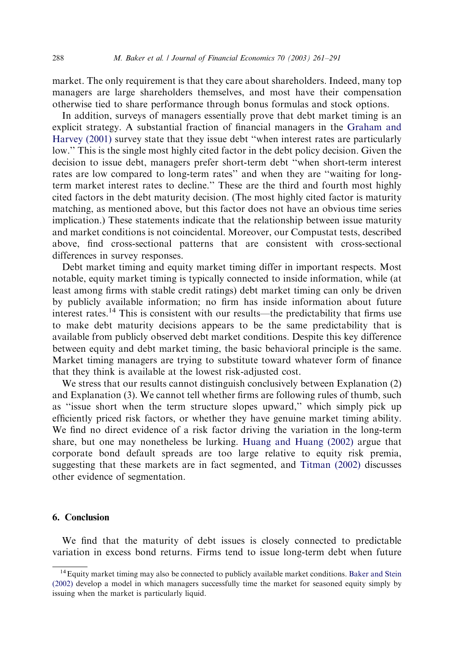market. The only requirement is that they care about shareholders. Indeed, many top managers are large shareholders themselves, and most have their compensation otherwise tied to share performance through bonus formulas and stock options.

In addition, surveys of managers essentially prove that debt market timing is an explicit strategy. A substantial fraction of financial managers in the [Graham and](#page-29-0) [Harvey \(2001\)](#page-29-0) survey state that they issue debt ''when interest rates are particularly low.'' This is the single most highly cited factor in the debt policy decision. Given the decision to issue debt, managers prefer short-term debt ''when short-term interest rates are low compared to long-term rates'' and when they are ''waiting for longterm market interest rates to decline.'' These are the third and fourth most highly cited factors in the debt maturity decision. (The most highly cited factor is maturity matching, as mentioned above, but this factor does not have an obvious time series implication.) These statements indicate that the relationship between issue maturity and market conditions is not coincidental. Moreover, our Compustat tests, described above, find cross-sectional patterns that are consistent with cross-sectional differences in survey responses.

Debt market timing and equity market timing differ in important respects. Most notable, equity market timing is typically connected to inside information, while (at least among firms with stable credit ratings) debt market timing can only be driven by publicly available information; no firm has inside information about future interest rates.<sup>14</sup> This is consistent with our results—the predictability that firms use to make debt maturity decisions appears to be the same predictability that is available from publicly observed debt market conditions. Despite this key difference between equity and debt market timing, the basic behavioral principle is the same. Market timing managers are trying to substitute toward whatever form of finance that they think is available at the lowest risk-adjusted cost.

We stress that our results cannot distinguish conclusively between Explanation (2) and Explanation (3). We cannot tell whether firms are following rules of thumb, such as ''issue short when the term structure slopes upward,'' which simply pick up efficiently priced risk factors, or whether they have genuine market timing ability. We find no direct evidence of a risk factor driving the variation in the long-term share, but one may nonetheless be lurking. [Huang and Huang \(2002\)](#page-29-0) argue that corporate bond default spreads are too large relative to equity risk premia, suggesting that these markets are in fact segmented, and [Titman \(2002\)](#page-30-0) discusses other evidence of segmentation.

### 6. Conclusion

We find that the maturity of debt issues is closely connected to predictable variation in excess bond returns. Firms tend to issue long-term debt when future

<sup>&</sup>lt;sup>14</sup> Equity market timing may also be connected to publicly available market conditions. [Baker and Stein](#page-28-0) [\(2002\)](#page-28-0) developa model in which managers successfully time the market for seasoned equity simply by issuing when the market is particularly liquid.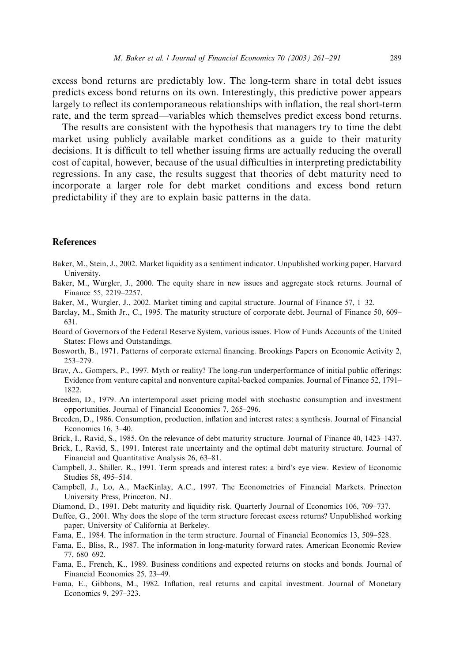<span id="page-28-0"></span>excess bond returns are predictably low. The long-term share in total debt issues predicts excess bond returns on its own. Interestingly, this predictive power appears largely to reflect its contemporaneous relationships with inflation, the real short-term rate, and the term spread—variables which themselves predict excess bond returns.

The results are consistent with the hypothesis that managers try to time the debt market using publicly available market conditions as a guide to their maturity decisions. It is difficult to tell whether issuing firms are actually reducing the overall cost of capital, however, because of the usual difficulties in interpreting predictability regressions. In any case, the results suggest that theories of debt maturity need to incorporate a larger role for debt market conditions and excess bond return predictability if they are to explain basic patterns in the data.

### References

- Baker, M., Stein, J., 2002. Market liquidity as a sentiment indicator. Unpublished working paper, Harvard University.
- Baker, M., Wurgler, J., 2000. The equity share in new issues and aggregate stock returns. Journal of Finance 55, 2219–2257.
- Baker, M., Wurgler, J., 2002. Market timing and capital structure. Journal of Finance 57, 1–32.
- Barclay, M., Smith Jr., C., 1995. The maturity structure of corporate debt. Journal of Finance 50, 609– 631.
- Board of Governors of the Federal Reserve System, various issues. Flow of Funds Accounts of the United States: Flows and Outstandings.
- Bosworth, B., 1971. Patterns of corporate external financing. Brookings Papers on Economic Activity 2, 253–279.
- Brav, A., Gompers, P., 1997. Myth or reality? The long-run underperformance of initial public offerings: Evidence from venture capital and nonventure capital-backed companies. Journal of Finance 52, 1791– 1822.
- Breeden, D., 1979. An intertemporal asset pricing model with stochastic consumption and investment opportunities. Journal of Financial Economics 7, 265–296.
- Breeden, D., 1986. Consumption, production, inflation and interest rates: a synthesis. Journal of Financial Economics 16, 3–40.
- Brick, I., Ravid, S., 1985. On the relevance of debt maturity structure. Journal of Finance 40, 1423–1437.
- Brick, I., Ravid, S., 1991. Interest rate uncertainty and the optimal debt maturity structure. Journal of Financial and Quantitative Analysis 26, 63–81.
- Campbell, J., Shiller, R., 1991. Term spreads and interest rates: a bird's eye view. Review of Economic Studies 58, 495–514.
- Campbell, J., Lo, A., MacKinlay, A.C., 1997. The Econometrics of Financial Markets. Princeton University Press, Princeton, NJ.
- Diamond, D., 1991. Debt maturity and liquidity risk. Quarterly Journal of Economics 106, 709–737.
- Duffee, G., 2001. Why does the slope of the term structure forecast excess returns? Unpublished working paper, University of California at Berkeley.
- Fama, E., 1984. The information in the term structure. Journal of Financial Economics 13, 509–528.
- Fama, E., Bliss, R., 1987. The information in long-maturity forward rates. American Economic Review 77, 680–692.
- Fama, E., French, K., 1989. Business conditions and expected returns on stocks and bonds. Journal of Financial Economics 25, 23–49.
- Fama, E., Gibbons, M., 1982. Inflation, real returns and capital investment. Journal of Monetary Economics 9, 297–323.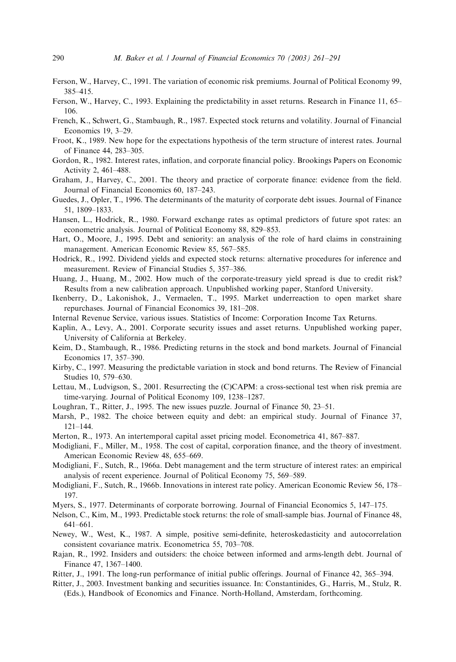- <span id="page-29-0"></span>Ferson, W., Harvey, C., 1991. The variation of economic risk premiums. Journal of Political Economy 99, 385–415.
- Ferson, W., Harvey, C., 1993. Explaining the predictability in asset returns. Research in Finance 11, 65– 106.
- French, K., Schwert, G., Stambaugh, R., 1987. Expected stock returns and volatility. Journal of Financial Economics 19, 3–29.
- Froot, K., 1989. New hope for the expectations hypothesis of the term structure of interest rates. Journal of Finance 44, 283–305.
- Gordon, R., 1982. Interest rates, inflation, and corporate financial policy. Brookings Papers on Economic Activity 2, 461–488.
- Graham, J., Harvey, C., 2001. The theory and practice of corporate finance: evidence from the field. Journal of Financial Economics 60, 187–243.
- Guedes, J., Opler, T., 1996. The determinants of the maturity of corporate debt issues. Journal of Finance 51, 1809–1833.
- Hansen, L., Hodrick, R., 1980. Forward exchange rates as optimal predictors of future spot rates: an econometric analysis. Journal of Political Economy 88, 829–853.
- Hart, O., Moore, J., 1995. Debt and seniority: an analysis of the role of hard claims in constraining management. American Economic Review 85, 567–585.
- Hodrick, R., 1992. Dividend yields and expected stock returns: alternative procedures for inference and measurement. Review of Financial Studies 5, 357–386.
- Huang, J., Huang, M., 2002. How much of the corporate-treasury yield spread is due to credit risk? Results from a new calibration approach. Unpublished working paper, Stanford University.
- Ikenberry, D., Lakonishok, J., Vermaelen, T., 1995. Market underreaction to open market share repurchases. Journal of Financial Economics 39, 181–208.
- Internal Revenue Service, various issues. Statistics of Income: Corporation Income Tax Returns.
- Kaplin, A., Levy, A., 2001. Corporate security issues and asset returns. Unpublished working paper, University of California at Berkeley.
- Keim, D., Stambaugh, R., 1986. Predicting returns in the stock and bond markets. Journal of Financial Economics 17, 357–390.
- Kirby, C., 1997. Measuring the predictable variation in stock and bond returns. The Review of Financial Studies 10, 579–630.
- Lettau, M., Ludvigson, S., 2001. Resurrecting the (C)CAPM: a cross-sectional test when risk premia are time-varying. Journal of Political Economy 109, 1238–1287.
- Loughran, T., Ritter, J., 1995. The new issues puzzle. Journal of Finance 50, 23–51.
- Marsh, P., 1982. The choice between equity and debt: an empirical study. Journal of Finance 37, 121–144.
- Merton, R., 1973. An intertemporal capital asset pricing model. Econometrica 41, 867–887.
- Modigliani, F., Miller, M., 1958. The cost of capital, corporation finance, and the theory of investment. American Economic Review 48, 655–669.
- Modigliani, F., Sutch, R., 1966a. Debt management and the term structure of interest rates: an empirical analysis of recent experience. Journal of Political Economy 75, 569–589.
- Modigliani, F., Sutch, R., 1966b. Innovations in interest rate policy. American Economic Review 56, 178– 197.
- Myers, S., 1977. Determinants of corporate borrowing. Journal of Financial Economics 5, 147–175.
- Nelson, C., Kim, M., 1993. Predictable stock returns: the role of small-sample bias. Journal of Finance 48, 641–661.
- Newey, W., West, K., 1987. A simple, positive semi-definite, heteroskedasticity and autocorrelation consistent covariance matrix. Econometrica 55, 703–708.
- Rajan, R., 1992. Insiders and outsiders: the choice between informed and arms-length debt. Journal of Finance 47, 1367–1400.
- Ritter, J., 1991. The long-run performance of initial public offerings. Journal of Finance 42, 365–394.
- Ritter, J., 2003. Investment banking and securities issuance. In: Constantinides, G., Harris, M., Stulz, R. (Eds.), Handbook of Economics and Finance. North-Holland, Amsterdam, forthcoming.